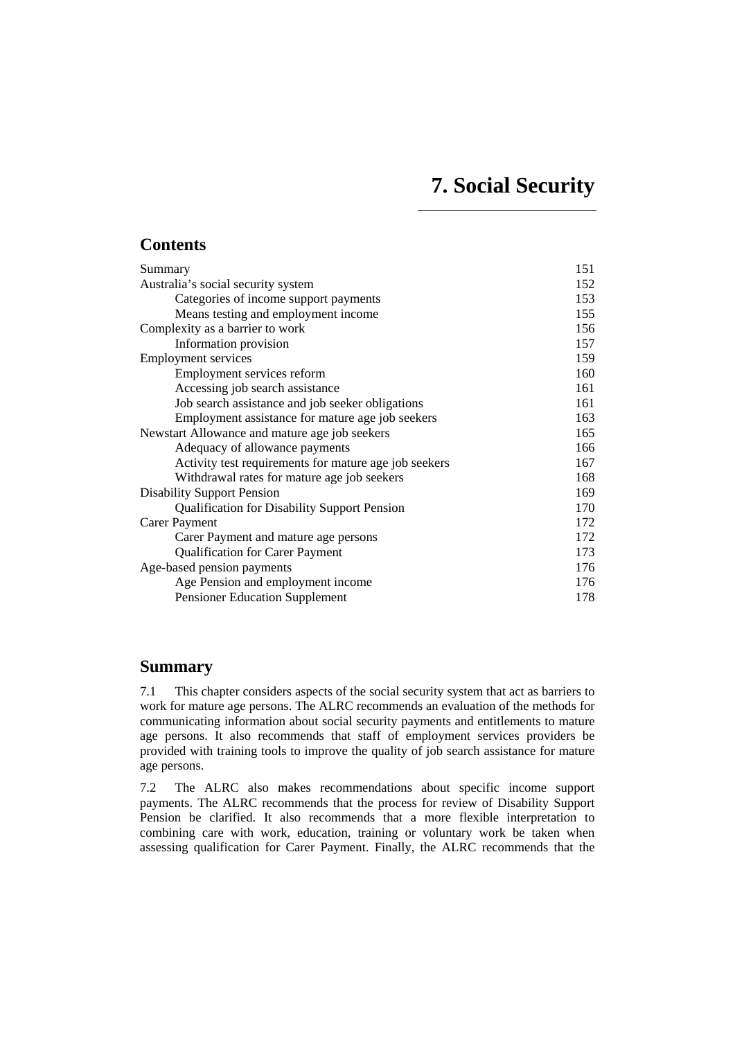# **7. Social Security**

# <span id="page-0-0"></span>**Contents**

| 151 |
|-----|
| 152 |
| 153 |
| 155 |
| 156 |
| 157 |
| 159 |
| 160 |
| 161 |
| 161 |
| 163 |
| 165 |
| 166 |
| 167 |
| 168 |
| 169 |
| 170 |
| 172 |
| 172 |
| 173 |
| 176 |
| 176 |
| 178 |
|     |

# **Summary**

7.1 This chapter considers aspects of the social security system that act as barriers to work for mature age persons. The ALRC recommends an evaluation of the methods for communicating information about social security payments and entitlements to mature age persons. It also recommends that staff of employment services providers be provided with training tools to improve the quality of job search assistance for mature age persons.

7.2 The ALRC also makes recommendations about specific income support payments. The ALRC recommends that the process for review of Disability Support Pension be clarified. It also recommends that a more flexible interpretation to combining care with work, education, training or voluntary work be taken when assessing qualification for Carer Payment. Finally, the ALRC recommends that the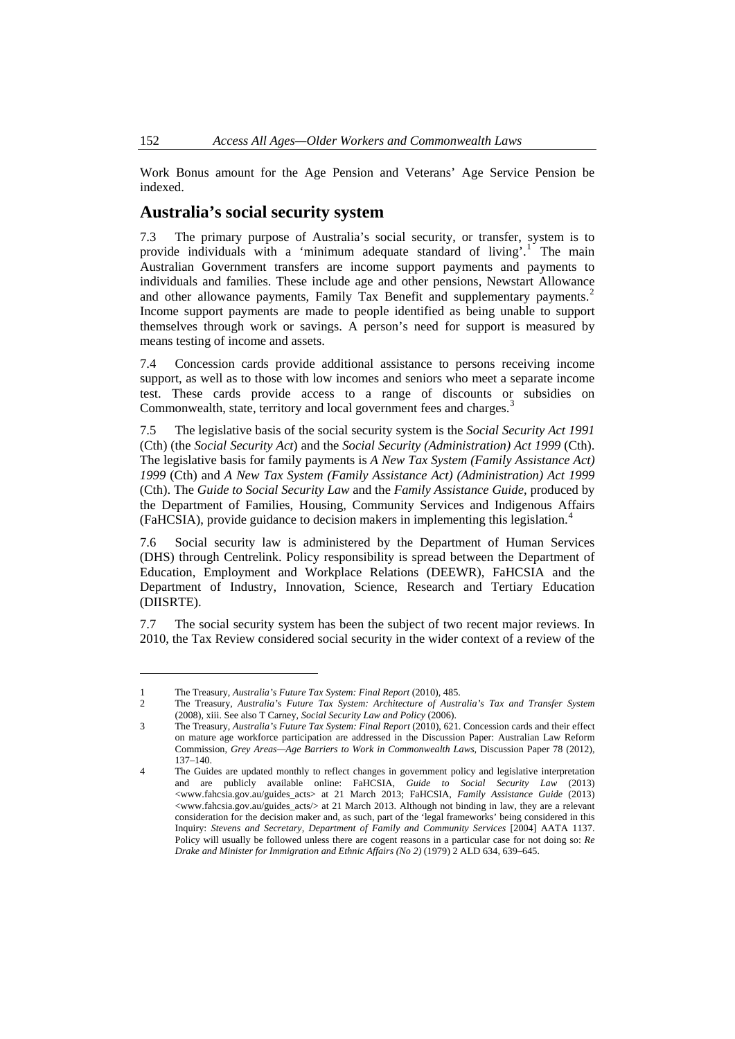<span id="page-1-0"></span>Work Bonus amount for the Age Pension and Veterans' Age Service Pension be indexed.

# **Australia's social security system**

7.3 The primary purpose of Australia's social security, or transfer, system is to provide individuals with a 'minimum adequate standard of living'.<sup>[1](#page-1-1)</sup> The main Australian Government transfers are income support payments and payments to individuals and families. These include age and other pensions, Newstart Allowance and other allowance payments, Family Tax Benefit and supplementary payments.<sup>[2](#page-1-2)</sup> Income support payments are made to people identified as being unable to support themselves through work or savings. A person's need for support is measured by means testing of income and assets.

7.4 Concession cards provide additional assistance to persons receiving income support, as well as to those with low incomes and seniors who meet a separate income test. These cards provide access to a range of discounts or subsidies on Commonwealth, state, territory and local government fees and charges.<sup>[3](#page-1-3)</sup>

7.5 The legislative basis of the social security system is the *Social Security Act 1991* (Cth) (the *Social Security Act*) and the *Social Security (Administration) Act 1999* (Cth). The legislative basis for family payments is *A New Tax System (Family Assistance Act) 1999* (Cth) and *A New Tax System (Family Assistance Act) (Administration) Act 1999* (Cth). The *Guide to Social Security Law* and the *Family Assistance Guide*, produced by the Department of Families, Housing, Community Services and Indigenous Affairs (FaHCSIA), provide guidance to decision makers in implementing this legislation.[4](#page-1-4)

7.6 Social security law is administered by the Department of Human Services (DHS) through Centrelink. Policy responsibility is spread between the Department of Education, Employment and Workplace Relations (DEEWR), FaHCSIA and the Department of Industry, Innovation, Science, Research and Tertiary Education (DIISRTE).

7.7 The social security system has been the subject of two recent major reviews. In 2010, the Tax Review considered social security in the wider context of a review of the

<sup>1</sup> The Treasury, *Australia's Future Tax System: Final Report* (2010), 485.

<span id="page-1-2"></span><span id="page-1-1"></span><sup>2</sup> The Treasury, *Australia's Future Tax System: Architecture of Australia's Tax and Transfer System* (2008), xiii. See also T Carney, *Social Security Law and Policy* (2006).

<span id="page-1-3"></span><sup>3</sup> The Treasury, *Australia's Future Tax System: Final Report* (2010), 621. Concession cards and their effect on mature age workforce participation are addressed in the Discussion Paper: Australian Law Reform Commission, *Grey Areas—Age Barriers to Work in Commonwealth Laws*, Discussion Paper 78 (2012), 137–140.

<span id="page-1-4"></span><sup>4</sup> The Guides are updated monthly to reflect changes in government policy and legislative interpretation and are publicly available online: FaHCSIA, *Guide to Social Security Law* (2013) <www.fahcsia.gov.au/guides\_acts> at 21 March 2013; FaHCSIA, *Family Assistance Guide* (2013) <www.fahcsia.gov.au/guides\_acts/> at 21 March 2013. Although not binding in law, they are a relevant consideration for the decision maker and, as such, part of the 'legal frameworks' being considered in this Inquiry: *Stevens and Secretary, Department of Family and Community Services* [2004] AATA 1137. Policy will usually be followed unless there are cogent reasons in a particular case for not doing so: *Re Drake and Minister for Immigration and Ethnic Affairs (No 2)* (1979) 2 ALD 634, 639–645.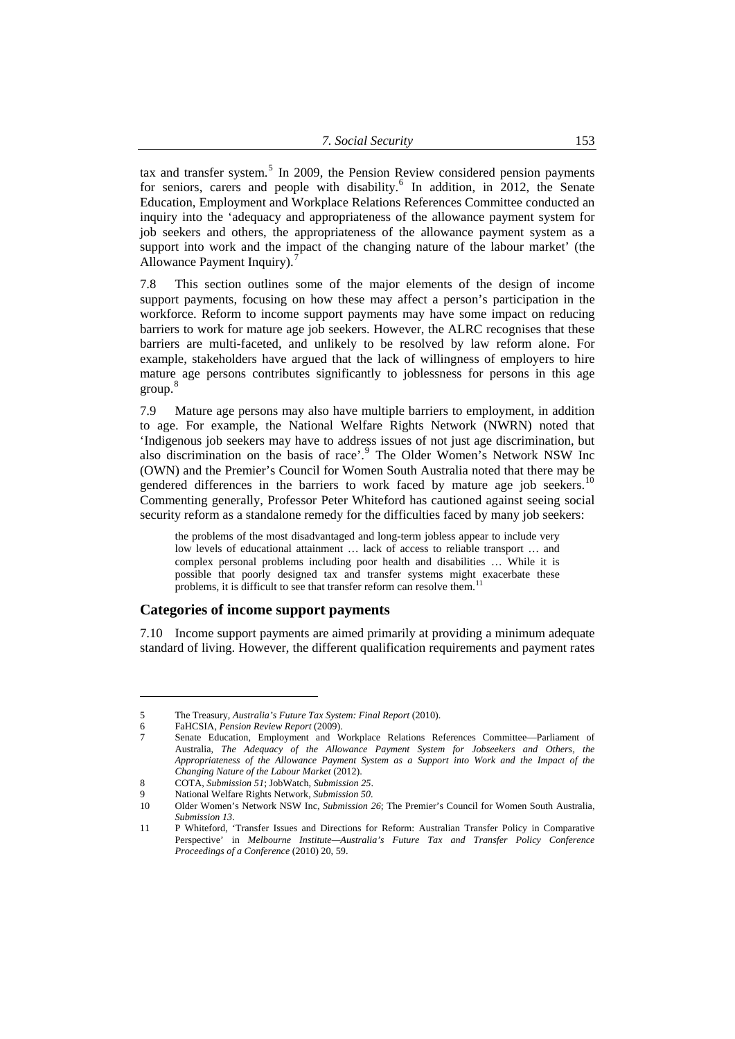<span id="page-2-0"></span>tax and transfer system.<sup>5</sup> In 2009, the Pension Review considered pension payments for seniors, carers and people with disability.<sup>6</sup> In addition, in 2012, the Senate Education, Employment and Workplace Relations References Committee conducted an inquiry into the 'adequacy and appropriateness of the allowance payment system for job seekers and others, the appropriateness of the allowance payment system as a support into work and the impact of the changing nature of the labour market' (the Allowance Payment Inquiry).

7.8 This section outlines some of the major elements of the design of income support payments, focusing on how these may affect a person's participation in the workforce. Reform to income support payments may have some impact on reducing barriers to work for mature age job seekers. However, the ALRC recognises that these barriers are multi-faceted, and unlikely to be resolved by law reform alone. For example, stakeholders have argued that the lack of willingness of employers to hire mature age persons contributes significantly to joblessness for persons in this age group. [8](#page-2-1)

7.9 Mature age persons may also have multiple barriers to employment, in addition to age. For example, the National Welfare Rights Network (NWRN) noted that 'Indigenous job seekers may have to address issues of not just age discrimination, but also discrimination on the basis of race'.<sup>[9](#page-2-2)</sup> The Older Women's Network NSW Inc (OWN) and the Premier's Council for Women South Australia noted that there may be gendered differences in the barriers to work faced by mature age job seekers.<sup>[10](#page-2-3)</sup> Commenting generally, Professor Peter Whiteford has cautioned against seeing social security reform as a standalone remedy for the difficulties faced by many job seekers:

the problems of the most disadvantaged and long-term jobless appear to include very low levels of educational attainment … lack of access to reliable transport … and complex personal problems including poor health and disabilities … While it is possible that poorly designed tax and transfer systems might exacerbate these problems, it is difficult to see that transfer reform can resolve them.[11](#page-2-4)

## **Categories of income support payments**

7.10 Income support payments are aimed primarily at providing a minimum adequate standard of living. However, the different qualification requirements and payment rates

<sup>5</sup> The Treasury, *Australia's Future Tax System: Final Report* (2010).

<sup>6</sup> FaHCSIA, *Pension Review Report* (2009).

<sup>7</sup> Senate Education, Employment and Workplace Relations References Committee—Parliament of Australia, *The Adequacy of the Allowance Payment System for Jobseekers and Others, the Appropriateness of the Allowance Payment System as a Support into Work and the Impact of the Changing Nature of the Labour Market* (2012).

<span id="page-2-1"></span><sup>8</sup> COTA, *Submission 51*; JobWatch, *Submission 25*.

<sup>9</sup> National Welfare Rights Network, *Submission 50*.

<span id="page-2-3"></span><span id="page-2-2"></span><sup>10</sup> Older Women's Network NSW Inc, *Submission 26*; The Premier's Council for Women South Australia, *Submission 13*.

<span id="page-2-4"></span><sup>11</sup> P Whiteford, 'Transfer Issues and Directions for Reform: Australian Transfer Policy in Comparative Perspective' in *Melbourne Institute—Australia's Future Tax and Transfer Policy Conference Proceedings of a Conference* (2010) 20, 59.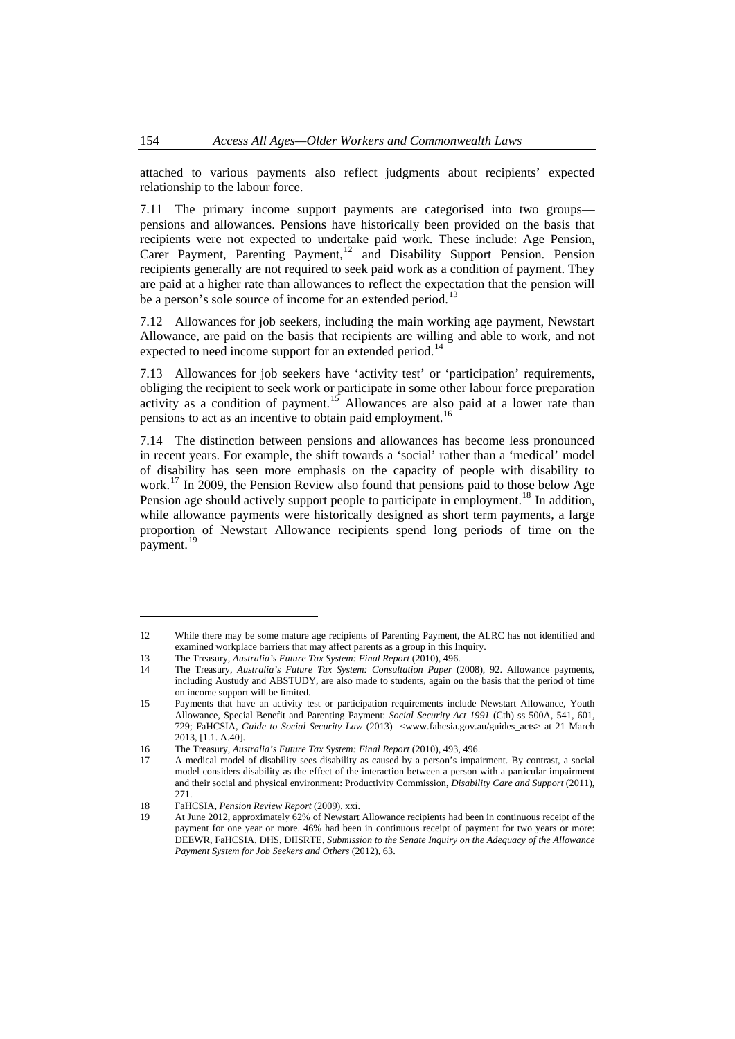attached to various payments also reflect judgments about recipients' expected relationship to the labour force.

7.11 The primary income support payments are categorised into two groups pensions and allowances. Pensions have historically been provided on the basis that recipients were not expected to undertake paid work. These include: Age Pension, Carer Payment, Parenting Payment,<sup>[12](#page-3-0)</sup> and Disability Support Pension. Pension recipients generally are not required to seek paid work as a condition of payment. They are paid at a higher rate than allowances to reflect the expectation that the pension will be a person's sole source of income for an extended period.<sup>1</sup>

7.12 Allowances for job seekers, including the main working age payment, Newstart Allowance, are paid on the basis that recipients are willing and able to work, and not expected to need income support for an extended period.<sup>[14](#page-3-2)</sup>

7.13 Allowances for job seekers have 'activity test' or 'participation' requirements, obliging the recipient to seek work or participate in some other labour force preparation activity as a condition of payment.<sup>[15](#page-3-3)</sup> Allowances are also paid at a lower rate than pensions to act as an incentive to obtain paid employment.<sup>[16](#page-3-4)</sup>

7.14 The distinction between pensions and allowances has become less pronounced in recent years. For example, the shift towards a 'social' rather than a 'medical' model of disability has seen more emphasis on the capacity of people with disability to work.<sup>[17](#page-3-5)</sup> In 2009, the Pension Review also found that pensions paid to those below Age Pension age should actively support people to participate in employment.<sup>[18](#page-3-6)</sup> In addition, while allowance payments were historically designed as short term payments, a large proportion of Newstart Allowance recipients spend long periods of time on the payment.<sup>[19](#page-3-7)</sup>

<span id="page-3-0"></span><sup>12</sup> While there may be some mature age recipients of Parenting Payment, the ALRC has not identified and examined workplace barriers that may affect parents as a group in this Inquiry.

<span id="page-3-1"></span><sup>13</sup> The Treasury, *Australia's Future Tax System: Final Report* (2010), 496.

<span id="page-3-2"></span><sup>14</sup> The Treasury, *Australia's Future Tax System: Consultation Paper* (2008), 92. Allowance payments, including Austudy and ABSTUDY, are also made to students, again on the basis that the period of time on income support will be limited.

<span id="page-3-3"></span><sup>15</sup> Payments that have an activity test or participation requirements include Newstart Allowance, Youth Allowance, Special Benefit and Parenting Payment: *Social Security Act 1991* (Cth) ss 500A, 541, 601, 729; FaHCSIA, *Guide to Social Security Law* (2013) <www.fahcsia.gov.au/guides\_acts> at 21 March 2013, [1.1. A.40].

<span id="page-3-5"></span><span id="page-3-4"></span><sup>16</sup> The Treasury, *Australia's Future Tax System: Final Report* (2010), 493, 496.

<sup>17</sup> A medical model of disability sees disability as caused by a person's impairment. By contrast, a social model considers disability as the effect of the interaction between a person with a particular impairment and their social and physical environment: Productivity Commission, *Disability Care and Support* (2011),  $271$ 

<span id="page-3-7"></span><span id="page-3-6"></span><sup>18</sup> FaHCSIA, *Pension Review Report* (2009), xxi.

<sup>19</sup> At June 2012, approximately 62% of Newstart Allowance recipients had been in continuous receipt of the payment for one year or more. 46% had been in continuous receipt of payment for two years or more: DEEWR, FaHCSIA, DHS, DIISRTE, *Submission to the Senate Inquiry on the Adequacy of the Allowance Payment System for Job Seekers and Others* (2012), 63.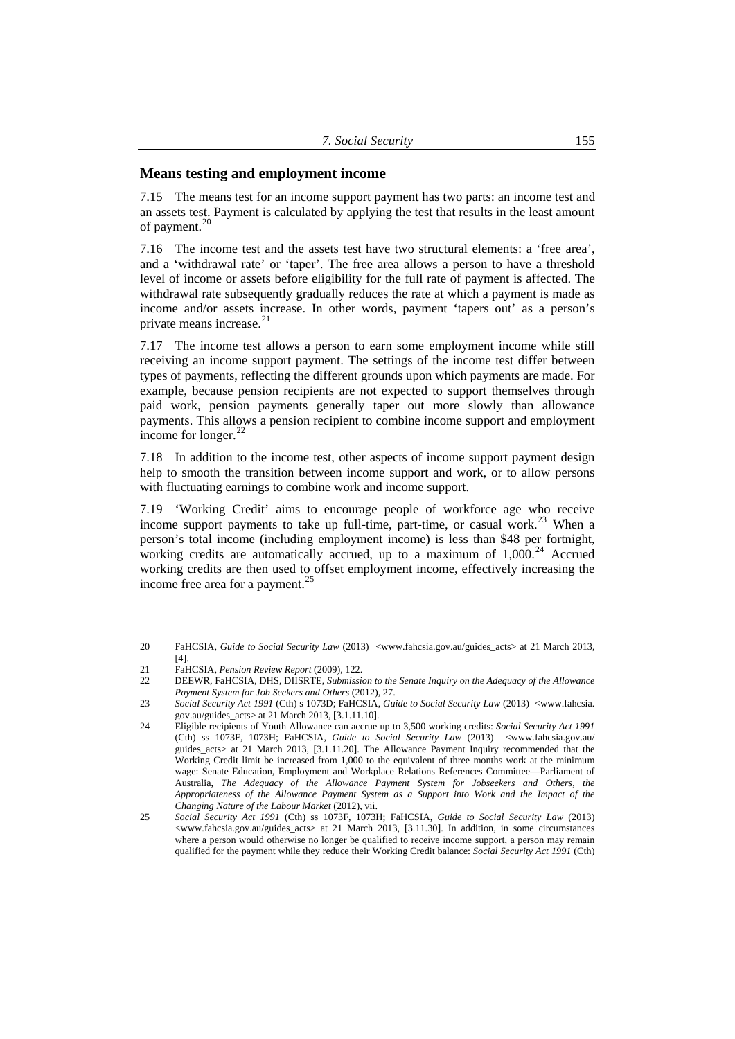## <span id="page-4-0"></span>**Means testing and employment income**

7.15 The means test for an income support payment has two parts: an income test and an assets test. Payment is calculated by applying the test that results in the least amount of payment.<sup>[20](#page-4-1)</sup>

7.16 The income test and the assets test have two structural elements: a 'free area', and a 'withdrawal rate' or 'taper'. The free area allows a person to have a threshold level of income or assets before eligibility for the full rate of payment is affected. The withdrawal rate subsequently gradually reduces the rate at which a payment is made as income and/or assets increase. In other words, payment 'tapers out' as a person's private means increase.<sup>[21](#page-4-2)</sup>

7.17 The income test allows a person to earn some employment income while still receiving an income support payment. The settings of the income test differ between types of payments, reflecting the different grounds upon which payments are made. For example, because pension recipients are not expected to support themselves through paid work, pension payments generally taper out more slowly than allowance payments. This allows a pension recipient to combine income support and employment income for longer.<sup>[22](#page-4-3)</sup>

7.18 In addition to the income test, other aspects of income support payment design help to smooth the transition between income support and work, or to allow persons with fluctuating earnings to combine work and income support.

7.19 'Working Credit' aims to encourage people of workforce age who receive income support payments to take up full-time, part-time, or casual work.<sup>[23](#page-4-4)</sup> When a person's total income (including employment income) is less than \$48 per fortnight, working credits are automatically accrued, up to a maximum of  $1,000$ .<sup>[24](#page-4-5)</sup> Accrued working credits are then used to offset employment income, effectively increasing the income free area for a payment.<sup>[25](#page-4-6)</sup>

<span id="page-4-1"></span><sup>20</sup> FaHCSIA, *Guide to Social Security Law* (2013) <www.fahcsia.gov.au/guides\_acts> at 21 March 2013, [4].

<span id="page-4-2"></span><sup>21</sup> FaHCSIA, *Pension Review Report* (2009), 122.

<span id="page-4-3"></span><sup>22</sup> DEEWR, FaHCSIA, DHS, DIISRTE, *Submission to the Senate Inquiry on the Adequacy of the Allowance Payment System for Job Seekers and Others* (2012), 27.

<span id="page-4-4"></span><sup>23</sup> *Social Security Act 1991* (Cth) s 1073D; FaHCSIA, *Guide to Social Security Law* (2013) <www.fahcsia. gov.au/guides\_acts> at 21 March 2013, [3.1.11.10].

<span id="page-4-5"></span><sup>24</sup> Eligible recipients of Youth Allowance can accrue up to 3,500 working credits: *Social Security Act 1991* (Cth) ss 1073F, 1073H; FaHCSIA, *Guide to Social Security Law* (2013) <www.fahcsia.gov.au/ guides\_acts> at 21 March 2013, [3.1.11.20]. The Allowance Payment Inquiry recommended that the Working Credit limit be increased from 1,000 to the equivalent of three months work at the minimum wage: Senate Education, Employment and Workplace Relations References Committee—Parliament of Australia, *The Adequacy of the Allowance Payment System for Jobseekers and Others, the Appropriateness of the Allowance Payment System as a Support into Work and the Impact of the Changing Nature of the Labour Market* (2012), vii.

<span id="page-4-6"></span><sup>25</sup> *Social Security Act 1991* (Cth) ss 1073F, 1073H; FaHCSIA, *Guide to Social Security Law* (2013) <www.fahcsia.gov.au/guides\_acts> at 21 March 2013, [3.11.30]. In addition, in some circumstances where a person would otherwise no longer be qualified to receive income support, a person may remain qualified for the payment while they reduce their Working Credit balance: *Social Security Act 1991* (Cth)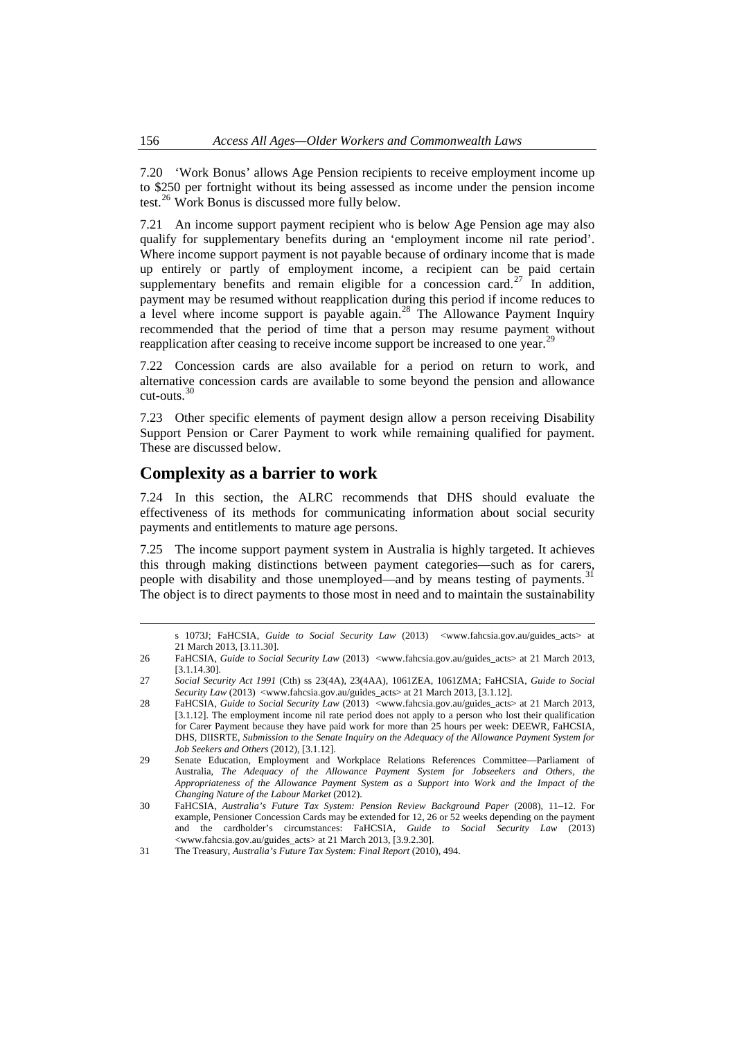<span id="page-5-0"></span>7.20 'Work Bonus' allows Age Pension recipients to receive employment income up to \$250 per fortnight without its being assessed as income under the pension income test.[26](#page-5-1) Work Bonus is discussed more fully below.

7.21 An income support payment recipient who is below Age Pension age may also qualify for supplementary benefits during an 'employment income nil rate period'. Where income support payment is not payable because of ordinary income that is made up entirely or partly of employment income, a recipient can be paid certain supplementary benefits and remain eligible for a concession card.<sup>[27](#page-5-2)</sup> In addition, payment may be resumed without reapplication during this period if income reduces to a level where income support is payable again.<sup>[28](#page-5-3)</sup> The Allowance Payment Inquiry recommended that the period of time that a person may resume payment without reapplication after ceasing to receive income support be increased to one year.<sup>[29](#page-5-4)</sup>

7.22 Concession cards are also available for a period on return to work, and alternative concession cards are available to some beyond the pension and allowance cut-outs.[30](#page-5-5)

7.23 Other specific elements of payment design allow a person receiving Disability Support Pension or Carer Payment to work while remaining qualified for payment. These are discussed below.

# **Complexity as a barrier to work**

7.24 In this section, the ALRC recommends that DHS should evaluate the effectiveness of its methods for communicating information about social security payments and entitlements to mature age persons.

7.25 The income support payment system in Australia is highly targeted. It achieves this through making distinctions between payment categories—such as for carers, people with disability and those unemployed—and by means testing of payments.<sup>[31](#page-5-6)</sup> The object is to direct payments to those most in need and to maintain the sustainability

s 1073J; FaHCSIA, *Guide to Social Security Law* (2013) <www.fahcsia.gov.au/guides\_acts> at 21 March 2013, [3.11.30].

<span id="page-5-1"></span><sup>26</sup> FaHCSIA, *Guide to Social Security Law* (2013) <www.fahcsia.gov.au/guides\_acts> at 21 March 2013, [3.1.14.30].

<span id="page-5-2"></span><sup>27</sup> *Social Security Act 1991* (Cth) ss 23(4A), 23(4AA), 1061ZEA, 1061ZMA; FaHCSIA, *Guide to Social Security Law* (2013) <www.fahcsia.gov.au/guides\_acts> at 21 March 2013, [3.1.12].

<span id="page-5-3"></span><sup>28</sup> FaHCSIA, *Guide to Social Security Law* (2013) <www.fahcsia.gov.au/guides\_acts> at 21 March 2013, [3.1.12]. The employment income nil rate period does not apply to a person who lost their qualification for Carer Payment because they have paid work for more than 25 hours per week: DEEWR, FaHCSIA, DHS, DIISRTE, *Submission to the Senate Inquiry on the Adequacy of the Allowance Payment System for Job Seekers and Others* (2012), [3.1.12].

<span id="page-5-4"></span><sup>29</sup> Senate Education, Employment and Workplace Relations References Committee—Parliament of Australia, *The Adequacy of the Allowance Payment System for Jobseekers and Others, the Appropriateness of the Allowance Payment System as a Support into Work and the Impact of the Changing Nature of the Labour Market* (2012).

<span id="page-5-5"></span><sup>30</sup> FaHCSIA, *Australia's Future Tax System: Pension Review Background Paper* (2008), 11–12. For example, Pensioner Concession Cards may be extended for 12, 26 or 52 weeks depending on the payment and the cardholder's circumstances: FaHCSIA, *Guide to Social Security Law* (2013) <www.fahcsia.gov.au/guides\_acts> at 21 March 2013, [3.9.2.30].

<span id="page-5-6"></span><sup>31</sup> The Treasury, *Australia's Future Tax System: Final Report* (2010), 494.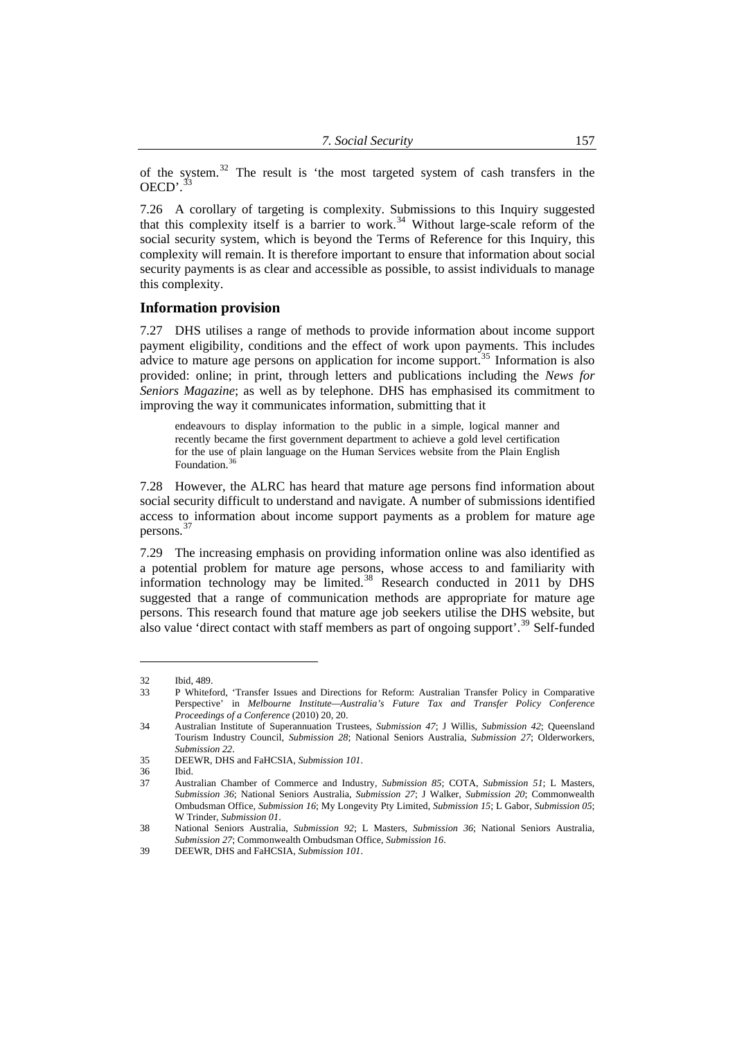<span id="page-6-0"></span>of the system.<sup>32</sup> The result is 'the most targeted system of cash transfers in the  $OECD'$ .  $33$ 

7.26 A corollary of targeting is complexity. Submissions to this Inquiry suggested that this complexity itself is a barrier to work.<sup>[34](#page-6-1)</sup> Without large-scale reform of the social security system, which is beyond the Terms of Reference for this Inquiry, this complexity will remain. It is therefore important to ensure that information about social security payments is as clear and accessible as possible, to assist individuals to manage this complexity.

#### **Information provision**

7.27 DHS utilises a range of methods to provide information about income support payment eligibility, conditions and the effect of work upon payments. This includes advice to mature age persons on application for income support.<sup>[35](#page-6-2)</sup> Information is also provided: online; in print, through letters and publications including the *News for Seniors Magazine*; as well as by telephone. DHS has emphasised its commitment to improving the way it communicates information, submitting that it

endeavours to display information to the public in a simple, logical manner and recently became the first government department to achieve a gold level certification for the use of plain language on the Human Services website from the Plain English Foundation.<sup>3</sup>

7.28 However, the ALRC has heard that mature age persons find information about social security difficult to understand and navigate. A number of submissions identified access to information about income support payments as a problem for mature age persons. [37](#page-6-4)

7.29 The increasing emphasis on providing information online was also identified as a potential problem for mature age persons, whose access to and familiarity with information technology may be limited.<sup>[38](#page-6-5)</sup> Research conducted in 2011 by DHS suggested that a range of communication methods are appropriate for mature age persons. This research found that mature age job seekers utilise the DHS website, but also value 'direct contact with staff members as part of ongoing support'.<sup>[39](#page-6-6)</sup> Self-funded

<sup>32</sup> Ibid, 489.

<sup>33</sup> P Whiteford, 'Transfer Issues and Directions for Reform: Australian Transfer Policy in Comparative Perspective' in *Melbourne Institute—Australia's Future Tax and Transfer Policy Conference Proceedings of a Conference* (2010) 20, 20.

<span id="page-6-1"></span><sup>34</sup> Australian Institute of Superannuation Trustees, *Submission 47*; J Willis, *Submission 42*; Queensland Tourism Industry Council, *Submission 28*; National Seniors Australia, *Submission 27*; Olderworkers, *Submission 22*.

<sup>35</sup> DEEWR, DHS and FaHCSIA, *Submission 101*.

<span id="page-6-3"></span><span id="page-6-2"></span><sup>36</sup> Ibid.

<span id="page-6-4"></span><sup>37</sup> Australian Chamber of Commerce and Industry, *Submission 85*; COTA, *Submission 51*; L Masters, *Submission 36*; National Seniors Australia, *Submission 27*; J Walker, *Submission 20*; Commonwealth Ombudsman Office, *Submission 16*; My Longevity Pty Limited, *Submission 15*; L Gabor, *Submission 05*; W Trinder, *Submission 01*.

<span id="page-6-5"></span><sup>38</sup> National Seniors Australia, *Submission 92*; L Masters, *Submission 36*; National Seniors Australia, *Submission 27*; Commonwealth Ombudsman Office, *Submission 16*.

<span id="page-6-6"></span><sup>39</sup> DEEWR, DHS and FaHCSIA, *Submission 101*.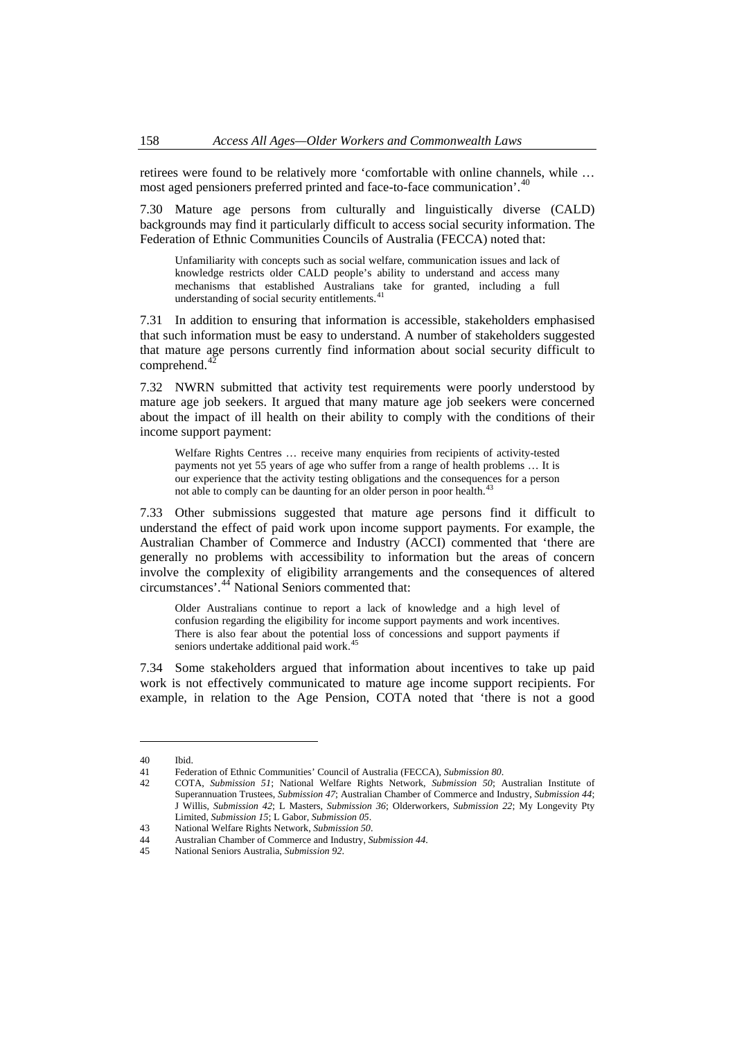retirees were found to be relatively more 'comfortable with online channels, while … most aged pensioners preferred printed and face-to-face communication'.<sup>40</sup>

7.30 Mature age persons from culturally and linguistically diverse (CALD) backgrounds may find it particularly difficult to access social security information. The Federation of Ethnic Communities Councils of Australia (FECCA) noted that:

Unfamiliarity with concepts such as social welfare, communication issues and lack of knowledge restricts older CALD people's ability to understand and access many mechanisms that established Australians take for granted, including a full understanding of social security entitlements.<sup>[41](#page-7-0)</sup>

7.31 In addition to ensuring that information is accessible, stakeholders emphasised that such information must be easy to understand. A number of stakeholders suggested that mature age persons currently find information about social security difficult to comprehend.<sup>[42](#page-7-1)</sup>

7.32 NWRN submitted that activity test requirements were poorly understood by mature age job seekers. It argued that many mature age job seekers were concerned about the impact of ill health on their ability to comply with the conditions of their income support payment:

Welfare Rights Centres … receive many enquiries from recipients of activity-tested payments not yet 55 years of age who suffer from a range of health problems … It is our experience that the activity testing obligations and the consequences for a person not able to comply can be daunting for an older person in poor health.<sup>[43](#page-7-2)</sup>

7.33 Other submissions suggested that mature age persons find it difficult to understand the effect of paid work upon income support payments. For example, the Australian Chamber of Commerce and Industry (ACCI) commented that 'there are generally no problems with accessibility to information but the areas of concern involve the complexity of eligibility arrangements and the consequences of altered circumstances'.[44](#page-7-3) National Seniors commented that:

Older Australians continue to report a lack of knowledge and a high level of confusion regarding the eligibility for income support payments and work incentives. There is also fear about the potential loss of concessions and support payments if seniors undertake additional paid work.<sup>4</sup>

7.34 Some stakeholders argued that information about incentives to take up paid work is not effectively communicated to mature age income support recipients. For example, in relation to the Age Pension, COTA noted that 'there is not a good

<sup>40</sup> Ibid.

<sup>41</sup> Federation of Ethnic Communities' Council of Australia (FECCA), *Submission 80*.

<span id="page-7-1"></span><span id="page-7-0"></span><sup>42</sup> COTA, *Submission 51*; National Welfare Rights Network, *Submission 50*; Australian Institute of Superannuation Trustees, *Submission 47*; Australian Chamber of Commerce and Industry, *Submission 44*; J Willis, *Submission 42*; L Masters, *Submission 36*; Olderworkers, *Submission 22*; My Longevity Pty Limited, *Submission 15*; L Gabor, *Submission 05*.

<span id="page-7-2"></span><sup>43</sup> National Welfare Rights Network, *Submission 50*.

<span id="page-7-3"></span><sup>44</sup> Australian Chamber of Commerce and Industry, *Submission 44*.

<span id="page-7-4"></span><sup>45</sup> National Seniors Australia, *Submission 92*.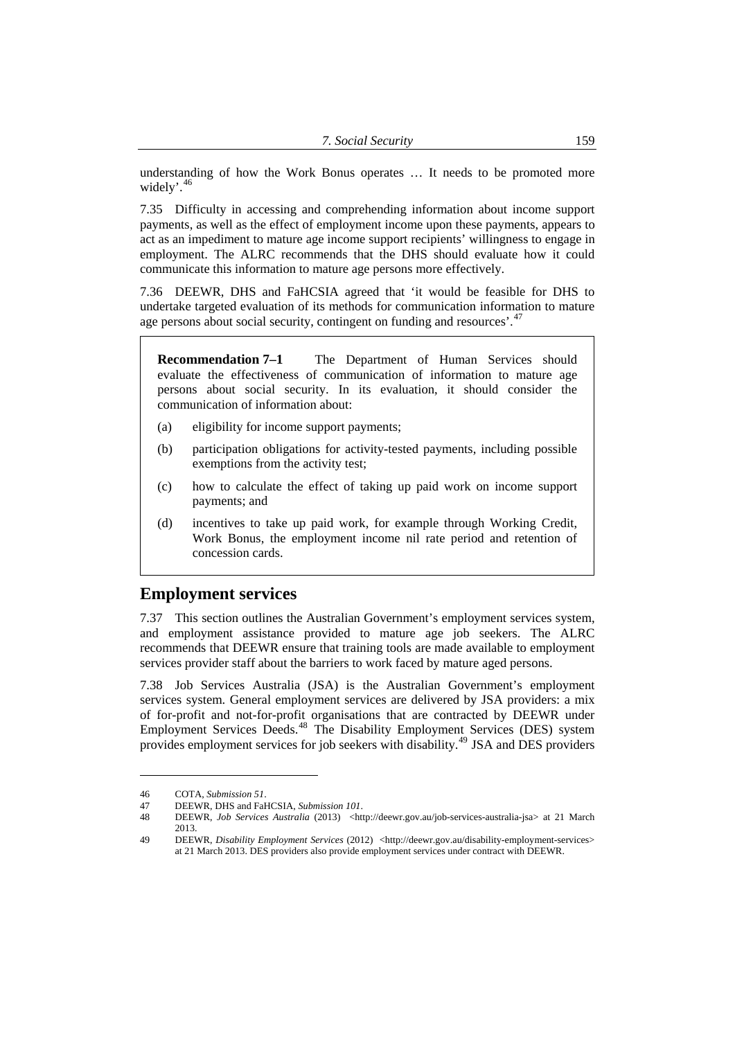<span id="page-8-0"></span>understanding of how the Work Bonus operates … It needs to be promoted more widely'.<sup>46</sup>

7.35 Difficulty in accessing and comprehending information about income support payments, as well as the effect of employment income upon these payments, appears to act as an impediment to mature age income support recipients' willingness to engage in employment. The ALRC recommends that the DHS should evaluate how it could communicate this information to mature age persons more effectively.

7.36 DEEWR, DHS and FaHCSIA agreed that 'it would be feasible for DHS to undertake targeted evaluation of its methods for communication information to mature age persons about social security, contingent on funding and resources'.<sup>[47](#page-8-1)</sup>

**Recommendation 7–1** The Department of Human Services should evaluate the effectiveness of communication of information to mature age persons about social security. In its evaluation, it should consider the communication of information about:

- (a) eligibility for income support payments;
- (b) participation obligations for activity-tested payments, including possible exemptions from the activity test;
- (c) how to calculate the effect of taking up paid work on income support payments; and
- (d) incentives to take up paid work, for example through Working Credit, Work Bonus, the employment income nil rate period and retention of concession cards.

# **Employment services**

7.37 This section outlines the Australian Government's employment services system, and employment assistance provided to mature age job seekers. The ALRC recommends that DEEWR ensure that training tools are made available to employment services provider staff about the barriers to work faced by mature aged persons.

7.38 Job Services Australia (JSA) is the Australian Government's employment services system. General employment services are delivered by JSA providers: a mix of for-profit and not-for-profit organisations that are contracted by DEEWR under Employment Services Deeds.<sup>[48](#page-8-2)</sup> The Disability Employment Services (DES) system provides employment services for job seekers with disability.<sup>[49](#page-8-3)</sup> JSA and DES providers

<sup>46</sup> COTA, *Submission 51*.

<span id="page-8-1"></span><sup>47</sup> DEEWR, DHS and FaHCSIA, *Submission 101*.

<span id="page-8-2"></span><sup>48</sup> DEEWR, *Job Services Australia* (2013) <http://deewr.gov.au/job-services-australia-jsa> at 21 March 2013.

<span id="page-8-3"></span><sup>49</sup> DEEWR, *Disability Employment Services* (2012) <http://deewr.gov.au/disability-employment-services> at 21 March 2013. DES providers also provide employment services under contract with DEEWR.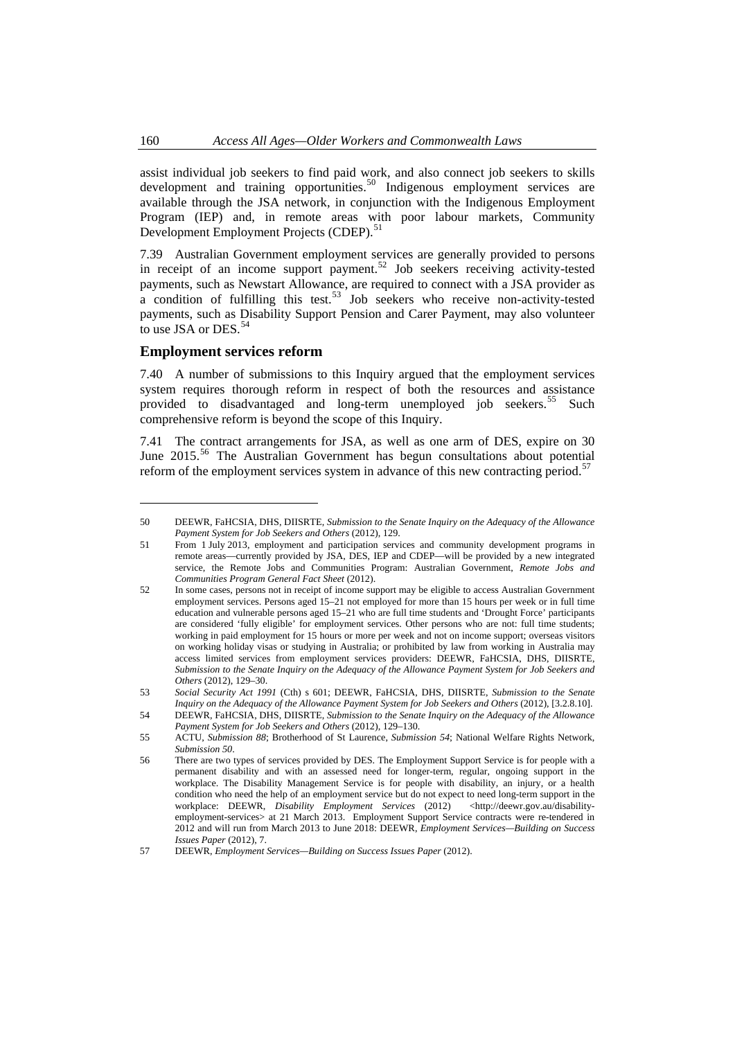assist individual job seekers to find paid work, and also connect job seekers to skills development and training opportunities.<sup>50</sup> Indigenous employment services are available through the JSA network, in conjunction with the Indigenous Employment Program (IEP) and, in remote areas with poor labour markets, Community Development Employment Projects (CDEP).<sup>51</sup>

7.39 Australian Government employment services are generally provided to persons in receipt of an income support payment.<sup>[52](#page-9-1)</sup> Job seekers receiving activity-tested payments, such as Newstart Allowance, are required to connect with a JSA provider as a condition of fulfilling this test.<sup>[53](#page-9-2)</sup> Job seekers who receive non-activity-tested payments, such as Disability Support Pension and Carer Payment, may also volunteer to use JSA or DES.<sup>[54](#page-9-3)</sup>

## **Employment services reform**

7.40 A number of submissions to this Inquiry argued that the employment services system requires thorough reform in respect of both the resources and assistance provided to disadvantaged and long-term unemployed job seekers.<sup>[55](#page-9-4)</sup> Such comprehensive reform is beyond the scope of this Inquiry.

7.41 The contract arrangements for JSA, as well as one arm of DES, expire on 30 June 2015.<sup>[56](#page-9-5)</sup> The Australian Government has begun consultations about potential reform of the employment services system in advance of this new contracting period.<sup>[57](#page-9-6)</sup>

<span id="page-9-0"></span>

<sup>50</sup> DEEWR, FaHCSIA, DHS, DIISRTE, *Submission to the Senate Inquiry on the Adequacy of the Allowance Payment System for Job Seekers and Others* (2012), 129.

<sup>51</sup> From 1 July 2013, employment and participation services and community development programs in remote areas—currently provided by JSA, DES, IEP and CDEP—will be provided by a new integrated service, the Remote Jobs and Communities Program: Australian Government, *Remote Jobs and Communities Program General Fact Sheet* (2012).

<span id="page-9-1"></span><sup>52</sup> In some cases, persons not in receipt of income support may be eligible to access Australian Government employment services. Persons aged 15–21 not employed for more than 15 hours per week or in full time education and vulnerable persons aged 15–21 who are full time students and 'Drought Force' participants are considered 'fully eligible' for employment services. Other persons who are not: full time students; working in paid employment for 15 hours or more per week and not on income support; overseas visitors on working holiday visas or studying in Australia; or prohibited by law from working in Australia may access limited services from employment services providers: DEEWR, FaHCSIA, DHS, DIISRTE, *Submission to the Senate Inquiry on the Adequacy of the Allowance Payment System for Job Seekers and Others* (2012), 129–30.

<span id="page-9-2"></span><sup>53</sup> *Social Security Act 1991* (Cth) s 601; DEEWR, FaHCSIA, DHS, DIISRTE, *Submission to the Senate Inquiry on the Adequacy of the Allowance Payment System for Job Seekers and Others* (2012), [3.2.8.10].

<span id="page-9-3"></span><sup>54</sup> DEEWR, FaHCSIA, DHS, DIISRTE, *Submission to the Senate Inquiry on the Adequacy of the Allowance Payment System for Job Seekers and Others* (2012), 129–130.

<span id="page-9-4"></span><sup>55</sup> ACTU, *Submission 88*; Brotherhood of St Laurence, *Submission 54*; National Welfare Rights Network, *Submission 50*.

<span id="page-9-5"></span><sup>56</sup> There are two types of services provided by DES. The Employment Support Service is for people with a permanent disability and with an assessed need for longer-term, regular, ongoing support in the workplace. The Disability Management Service is for people with disability, an injury, or a health condition who need the help of an employment service but do not expect to need long-term support in the workplace: DEEWR, *Disability Employment Services* (2012) <http://deewr.gov.au/disabilityemployment-services> at 21 March 2013. Employment Support Service contracts were re-tendered in 2012 and will run from March 2013 to June 2018: DEEWR, *Employment Services—Building on Success Issues Paper* (2012), 7.

<span id="page-9-6"></span><sup>57</sup> DEEWR, *Employment Services—Building on Success Issues Paper* (2012).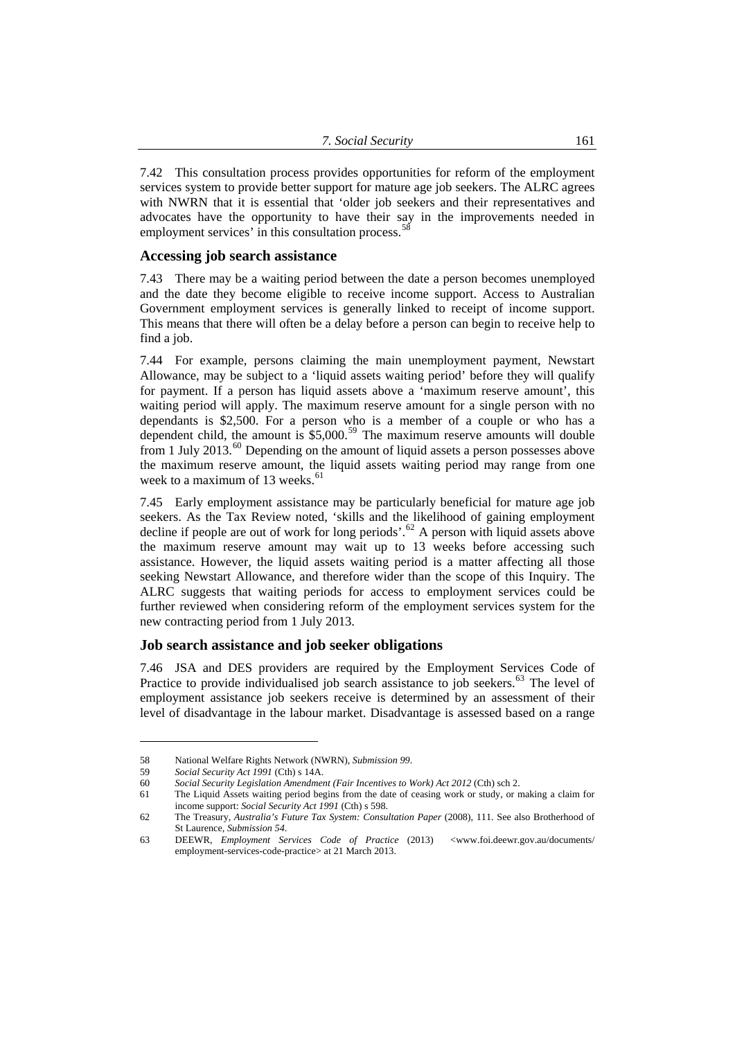<span id="page-10-0"></span>7.42 This consultation process provides opportunities for reform of the employment services system to provide better support for mature age job seekers. The ALRC agrees with NWRN that it is essential that 'older job seekers and their representatives and advocates have the opportunity to have their say in the improvements needed in employment services' in this consultation process.<sup>[58](#page-10-1)</sup>

#### **Accessing job search assistance**

7.43 There may be a waiting period between the date a person becomes unemployed and the date they become eligible to receive income support. Access to Australian Government employment services is generally linked to receipt of income support. This means that there will often be a delay before a person can begin to receive help to find a job.

7.44 For example, persons claiming the main unemployment payment, Newstart Allowance, may be subject to a 'liquid assets waiting period' before they will qualify for payment. If a person has liquid assets above a 'maximum reserve amount', this waiting period will apply. The maximum reserve amount for a single person with no dependants is \$2,500. For a person who is a member of a couple or who has a dependent child, the amount is  $$5,000<sup>59</sup>$  $$5,000<sup>59</sup>$  $$5,000<sup>59</sup>$  The maximum reserve amounts will double from 1 July 2013. $^{60}$  $^{60}$  $^{60}$  Depending on the amount of liquid assets a person possesses above the maximum reserve amount, the liquid assets waiting period may range from one week to a maximum of 13 weeks. $61$ 

7.45 Early employment assistance may be particularly beneficial for mature age job seekers. As the Tax Review noted, 'skills and the likelihood of gaining employment decline if people are out of work for long periods'.<sup>[62](#page-10-5)</sup> A person with liquid assets above the maximum reserve amount may wait up to 13 weeks before accessing such assistance. However, the liquid assets waiting period is a matter affecting all those seeking Newstart Allowance, and therefore wider than the scope of this Inquiry. The ALRC suggests that waiting periods for access to employment services could be further reviewed when considering reform of the employment services system for the new contracting period from 1 July 2013.

## **Job search assistance and job seeker obligations**

7.46 JSA and DES providers are required by the Employment Services Code of Practice to provide individualised job search assistance to job seekers.<sup>[63](#page-10-6)</sup> The level of employment assistance job seekers receive is determined by an assessment of their level of disadvantage in the labour market. Disadvantage is assessed based on a range

<sup>58</sup> National Welfare Rights Network (NWRN), *Submission 99*.

<span id="page-10-1"></span><sup>59</sup> *Social Security Act 1991* (Cth) s 14A.

<span id="page-10-4"></span><span id="page-10-3"></span><span id="page-10-2"></span><sup>60</sup> *Social Security Legislation Amendment (Fair Incentives to Work) Act 2012* (Cth) sch 2.

<sup>61</sup> The Liquid Assets waiting period begins from the date of ceasing work or study, or making a claim for income support: *Social Security Act 1991* (Cth) s 598.

<span id="page-10-5"></span><sup>62</sup> The Treasury, *Australia's Future Tax System: Consultation Paper* (2008), 111. See also Brotherhood of St Laurence, *Submission 54*.

<span id="page-10-6"></span><sup>63</sup> DEEWR, *Employment Services Code of Practice* (2013) <www.foi.deewr.gov.au/documents/ employment-services-code-practice> at 21 March 2013.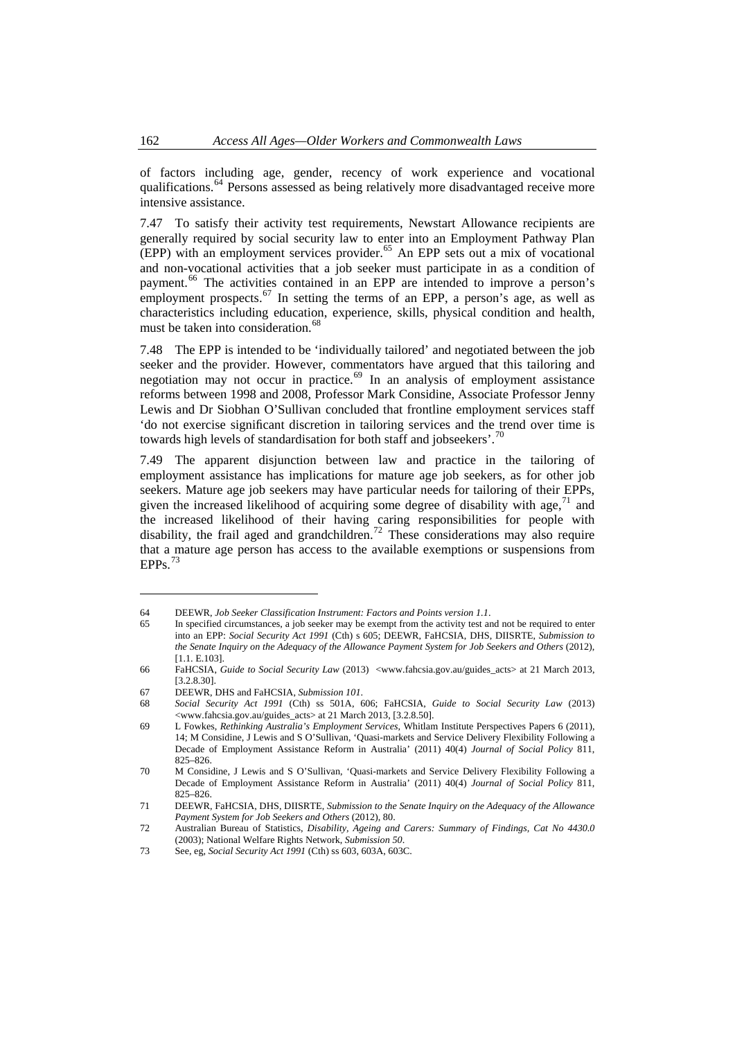of factors including age, gender, recency of work experience and vocational qualifications.<sup>64</sup> Persons assessed as being relatively more disadvantaged receive more intensive assistance.

7.47 To satisfy their activity test requirements, Newstart Allowance recipients are generally required by social security law to enter into an Employment Pathway Plan  $E$ <sub>(EPP)</sub> with an employment services provider.<sup>[65](#page-11-0)</sup> An EPP sets out a mix of vocational and non-vocational activities that a job seeker must participate in as a condition of payment.[66](#page-11-1) The activities contained in an EPP are intended to improve a person's employment prospects.<sup>[67](#page-11-2)</sup> In setting the terms of an EPP, a person's age, as well as characteristics including education, experience, skills, physical condition and health, must be taken into consideration.<sup>[68](#page-11-3)</sup>

7.48 The EPP is intended to be 'individually tailored' and negotiated between the job seeker and the provider. However, commentators have argued that this tailoring and negotiation may not occur in practice. $69$  In an analysis of employment assistance reforms between 1998 and 2008, Professor Mark Considine, Associate Professor Jenny Lewis and Dr Siobhan O'Sullivan concluded that frontline employment services staff 'do not exercise significant discretion in tailoring services and the trend over time is towards high levels of standardisation for both staff and jobseekers'.<sup>[70](#page-11-5)</sup>

7.49 The apparent disjunction between law and practice in the tailoring of employment assistance has implications for mature age job seekers, as for other job seekers. Mature age job seekers may have particular needs for tailoring of their EPPs, given the increased likelihood of acquiring some degree of disability with age,  $71$  and the increased likelihood of their having caring responsibilities for people with disability, the frail aged and grandchildren.<sup>[72](#page-11-7)</sup> These considerations may also require that a mature age person has access to the available exemptions or suspensions from  $EPPs.$ <sup>[73](#page-11-8)</sup>

<sup>64</sup> DEEWR, *Job Seeker Classification Instrument: Factors and Points version 1.1*.

<span id="page-11-0"></span><sup>65</sup> In specified circumstances, a job seeker may be exempt from the activity test and not be required to enter into an EPP: *Social Security Act 1991* (Cth) s 605; DEEWR, FaHCSIA, DHS, DIISRTE, *Submission to the Senate Inquiry on the Adequacy of the Allowance Payment System for Job Seekers and Others* (2012), [1.1. E.103].

<span id="page-11-1"></span><sup>66</sup> FaHCSIA, *Guide to Social Security Law* (2013) <www.fahcsia.gov.au/guides\_acts> at 21 March 2013, [3.2.8.30].

<sup>67</sup> DEEWR, DHS and FaHCSIA, *Submission 101*.

<span id="page-11-3"></span><span id="page-11-2"></span><sup>68</sup> *Social Security Act 1991* (Cth) ss 501A, 606; FaHCSIA, *Guide to Social Security Law* (2013) <www.fahcsia.gov.au/guides\_acts> at 21 March 2013, [3.2.8.50].

<span id="page-11-4"></span><sup>69</sup> L Fowkes, *Rethinking Australia's Employment Services*, Whitlam Institute Perspectives Papers 6 (2011), 14; M Considine, J Lewis and S O'Sullivan, 'Quasi-markets and Service Delivery Flexibility Following a Decade of Employment Assistance Reform in Australia' (2011) 40(4) *Journal of Social Policy* 811, 825–826.

<span id="page-11-5"></span><sup>70</sup> M Considine, J Lewis and S O'Sullivan, 'Quasi-markets and Service Delivery Flexibility Following a Decade of Employment Assistance Reform in Australia' (2011) 40(4) *Journal of Social Policy* 811, 825–826.

<span id="page-11-6"></span><sup>71</sup> DEEWR, FaHCSIA, DHS, DIISRTE, *Submission to the Senate Inquiry on the Adequacy of the Allowance Payment System for Job Seekers and Others* (2012), 80.

<span id="page-11-7"></span><sup>72</sup> Australian Bureau of Statistics, *Disability, Ageing and Carers: Summary of Findings, Cat No 4430.0* (2003); National Welfare Rights Network, *Submission 50*.

<span id="page-11-8"></span><sup>73</sup> See, eg, *Social Security Act 1991* (Cth) ss 603, 603A, 603C.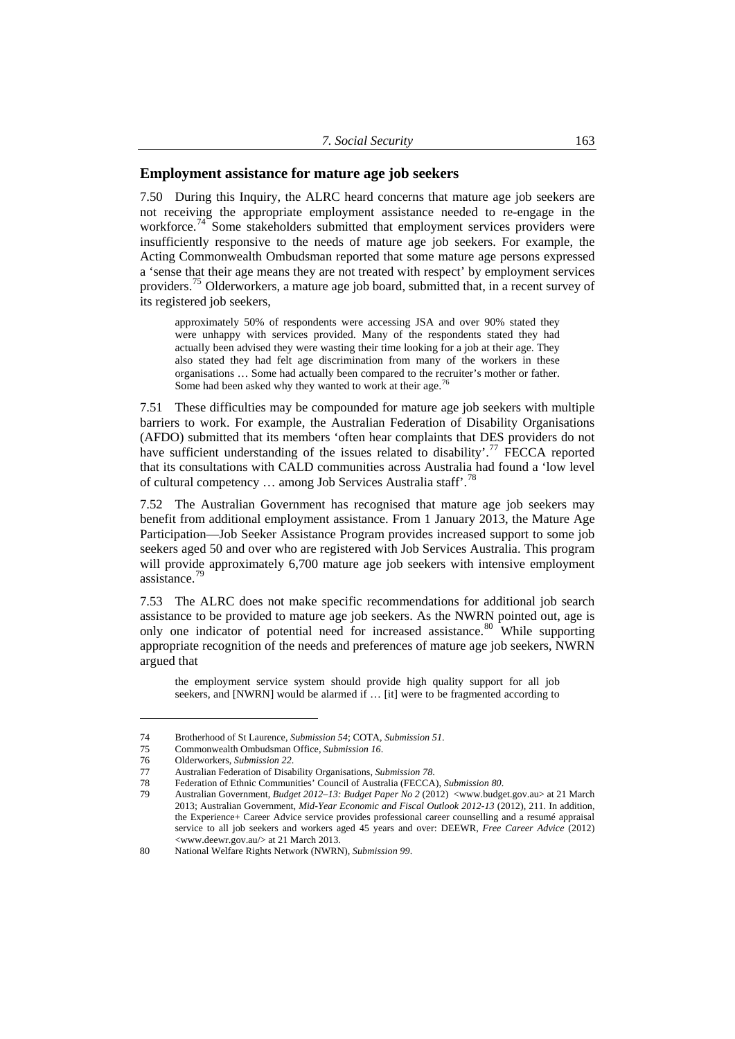## <span id="page-12-0"></span>**Employment assistance for mature age job seekers**

7.50 During this Inquiry, the ALRC heard concerns that mature age job seekers are not receiving the appropriate employment assistance needed to re-engage in the workforce.<sup>[74](#page-12-1)</sup> Some stakeholders submitted that employment services providers were insufficiently responsive to the needs of mature age job seekers. For example, the Acting Commonwealth Ombudsman reported that some mature age persons expressed a 'sense that their age means they are not treated with respect' by employment services providers.<sup>[75](#page-12-2)</sup> Olderworkers, a mature age job board, submitted that, in a recent survey of its registered job seekers,

approximately 50% of respondents were accessing JSA and over 90% stated they were unhappy with services provided. Many of the respondents stated they had actually been advised they were wasting their time looking for a job at their age. They also stated they had felt age discrimination from many of the workers in these organisations … Some had actually been compared to the recruiter's mother or father. Some had been asked why they wanted to work at their age.<sup>[76](#page-12-3)</sup>

7.51 These difficulties may be compounded for mature age job seekers with multiple barriers to work. For example, the Australian Federation of Disability Organisations (AFDO) submitted that its members 'often hear complaints that DES providers do not have sufficient understanding of the issues related to disability'.<sup>[77](#page-12-4)</sup> FECCA reported that its consultations with CALD communities across Australia had found a 'low level of cultural competency … among Job Services Australia staff'.[78](#page-12-5)

7.52 The Australian Government has recognised that mature age job seekers may benefit from additional employment assistance. From 1 January 2013, the Mature Age Participation—Job Seeker Assistance Program provides increased support to some job seekers aged 50 and over who are registered with Job Services Australia. This program will provide approximately 6,700 mature age job seekers with intensive employment assistance.<sup>[79](#page-12-6)</sup>

7.53 The ALRC does not make specific recommendations for additional job search assistance to be provided to mature age job seekers. As the NWRN pointed out, age is only one indicator of potential need for increased assistance.<sup>[80](#page-12-7)</sup> While supporting appropriate recognition of the needs and preferences of mature age job seekers, NWRN argued that

the employment service system should provide high quality support for all job seekers, and [NWRN] would be alarmed if … [it] were to be fragmented according to

<sup>74</sup> Brotherhood of St Laurence, *Submission 54*; COTA, *Submission 51*.

<span id="page-12-2"></span><span id="page-12-1"></span><sup>75</sup> Commonwealth Ombudsman Office, *Submission 16*.

<sup>76</sup> Olderworkers, *Submission 22*.

<span id="page-12-4"></span><span id="page-12-3"></span><sup>77</sup> Australian Federation of Disability Organisations, *Submission 78*.

<span id="page-12-6"></span><span id="page-12-5"></span><sup>78</sup> Federation of Ethnic Communities' Council of Australia (FECCA), *Submission 80*.

<sup>79</sup> Australian Government, *Budget 2012–13: Budget Paper No 2* (2012) <www.budget.gov.au> at 21 March 2013; Australian Government, *Mid-Year Economic and Fiscal Outlook 2012-13* (2012), 211. In addition, the Experience+ Career Advice service provides professional career counselling and a resumé appraisal service to all job seekers and workers aged 45 years and over: DEEWR, *Free Career Advice* (2012) <www.deewr.gov.au/> at 21 March 2013.

<span id="page-12-7"></span><sup>80</sup> National Welfare Rights Network (NWRN), *Submission 99*.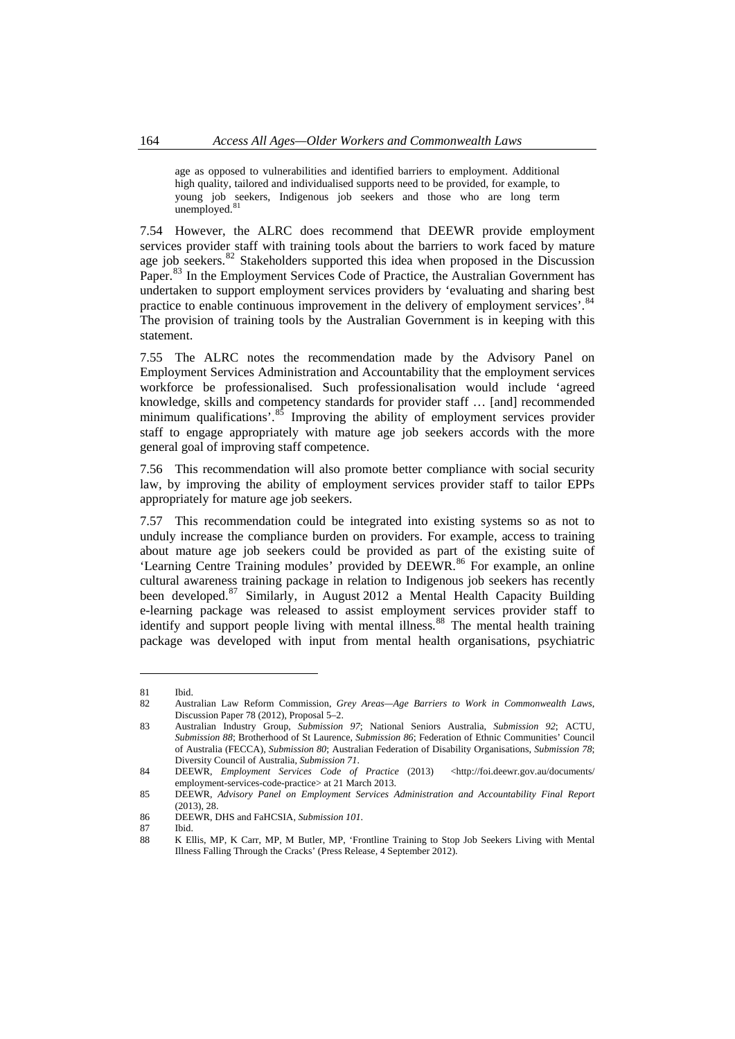age as opposed to vulnerabilities and identified barriers to employment. Additional high quality, tailored and individualised supports need to be provided, for example, to young job seekers, Indigenous job seekers and those who are long term unemployed.<sup>8</sup>

7.54 However, the ALRC does recommend that DEEWR provide employment services provider staff with training tools about the barriers to work faced by mature age job seekers.<sup>[82](#page-13-1)</sup> Stakeholders supported this idea when proposed in the Discussion Paper.<sup>[83](#page-13-2)</sup> In the Employment Services Code of Practice, the Australian Government has undertaken to support employment services providers by 'evaluating and sharing best practice to enable continuous improvement in the delivery of employment services'.<sup>[84](#page-13-3)</sup> The provision of training tools by the Australian Government is in keeping with this statement.

7.55 The ALRC notes the recommendation made by the Advisory Panel on Employment Services Administration and Accountability that the employment services workforce be professionalised. Such professionalisation would include 'agreed knowledge, skills and competency standards for provider staff … [and] recommended minimum qualifications'.<sup>[85](#page-13-4)</sup> Improving the ability of employment services provider staff to engage appropriately with mature age job seekers accords with the more general goal of improving staff competence.

7.56 This recommendation will also promote better compliance with social security law, by improving the ability of employment services provider staff to tailor EPPs appropriately for mature age job seekers.

7.57 This recommendation could be integrated into existing systems so as not to unduly increase the compliance burden on providers. For example, access to training about mature age job seekers could be provided as part of the existing suite of 'Learning Centre Training modules' provided by DEEWR.<sup>[86](#page-13-5)</sup> For example, an online cultural awareness training package in relation to Indigenous job seekers has recently been developed.<sup>[87](#page-13-6)</sup> Similarly, in August 2012 a Mental Health Capacity Building e-learning package was released to assist employment services provider staff to identify and support people living with mental illness.<sup>[88](#page-13-7)</sup> The mental health training package was developed with input from mental health organisations, psychiatric

<span id="page-13-0"></span><sup>81</sup> Ibid.

<sup>82</sup> Australian Law Reform Commission, *Grey Areas—Age Barriers to Work in Commonwealth Laws*, Discussion Paper 78 (2012), Proposal 5–2.

<span id="page-13-2"></span><span id="page-13-1"></span><sup>83</sup> Australian Industry Group, *Submission 97*; National Seniors Australia, *Submission 92*; ACTU, *Submission 88*; Brotherhood of St Laurence, *Submission 86*; Federation of Ethnic Communities' Council of Australia (FECCA), *Submission 80*; Australian Federation of Disability Organisations, *Submission 78*; Diversity Council of Australia, *Submission 71*.

<span id="page-13-3"></span><sup>84</sup> DEEWR, *Employment Services Code of Practice* (2013) <http://foi.deewr.gov.au/documents/ employment-services-code-practice> at 21 March 2013.

<span id="page-13-4"></span><sup>85</sup> DEEWR, *Advisory Panel on Employment Services Administration and Accountability Final Report* (2013), 28.

<sup>86</sup> DEEWR, DHS and FaHCSIA, *Submission 101*.

<span id="page-13-5"></span><sup>87</sup> Ibid.

<span id="page-13-7"></span><span id="page-13-6"></span><sup>88</sup> K Ellis, MP, K Carr, MP, M Butler, MP, 'Frontline Training to Stop Job Seekers Living with Mental Illness Falling Through the Cracks' (Press Release, 4 September 2012).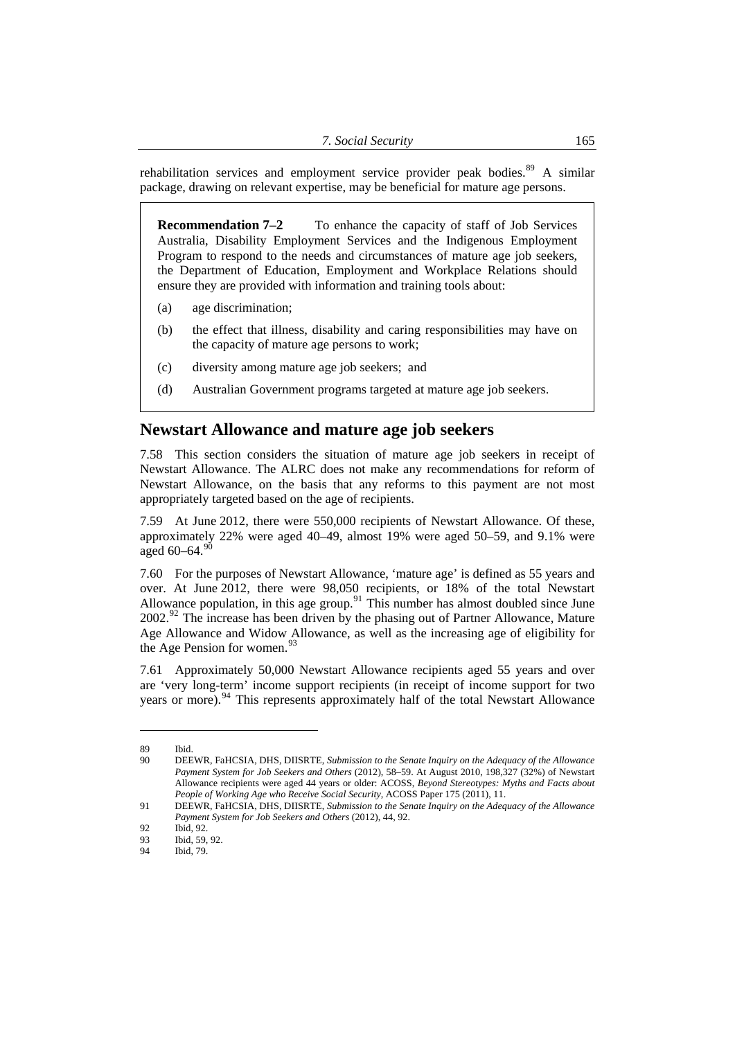<span id="page-14-0"></span>rehabilitation services and employment service provider peak bodies.<sup>89</sup> A similar package, drawing on relevant expertise, may be beneficial for mature age persons.

**Recommendation 7–2** To enhance the capacity of staff of Job Services Australia, Disability Employment Services and the Indigenous Employment Program to respond to the needs and circumstances of mature age job seekers, the Department of Education, Employment and Workplace Relations should ensure they are provided with information and training tools about:

- (a) age discrimination;
- (b) the effect that illness, disability and caring responsibilities may have on the capacity of mature age persons to work;
- (c) diversity among mature age job seekers; and
- (d) Australian Government programs targeted at mature age job seekers.

# **Newstart Allowance and mature age job seekers**

7.58 This section considers the situation of mature age job seekers in receipt of Newstart Allowance. The ALRC does not make any recommendations for reform of Newstart Allowance, on the basis that any reforms to this payment are not most appropriately targeted based on the age of recipients.

7.59 At June 2012, there were 550,000 recipients of Newstart Allowance. Of these, approximately 22% were aged 40–49, almost 19% were aged 50–59, and 9.1% were aged  $60-64.90$  $60-64.90$ 

7.60 For the purposes of Newstart Allowance, 'mature age' is defined as 55 years and over. At June 2012, there were 98,050 recipients, or 18% of the total Newstart Allowance population, in this age group.<sup>[91](#page-14-2)</sup> This number has almost doubled since June 2002.<sup>[92](#page-14-3)</sup> The increase has been driven by the phasing out of Partner Allowance, Mature Age Allowance and Widow Allowance, as well as the increasing age of eligibility for the Age Pension for women. $93$ 

7.61 Approximately 50,000 Newstart Allowance recipients aged 55 years and over are 'very long-term' income support recipients (in receipt of income support for two years or more).<sup>[94](#page-14-5)</sup> This represents approximately half of the total Newstart Allowance

<sup>89</sup> Ibid.

<span id="page-14-1"></span><sup>90</sup> DEEWR, FaHCSIA, DHS, DIISRTE, *Submission to the Senate Inquiry on the Adequacy of the Allowance Payment System for Job Seekers and Others* (2012), 58–59. At August 2010, 198,327 (32%) of Newstart Allowance recipients were aged 44 years or older: ACOSS, *Beyond Stereotypes: Myths and Facts about People of Working Age who Receive Social Security*, ACOSS Paper 175 (2011), 11.

<span id="page-14-2"></span><sup>91</sup> DEEWR, FaHCSIA, DHS, DIISRTE, *Submission to the Senate Inquiry on the Adequacy of the Allowance Payment System for Job Seekers and Others* (2012), 44, 92.

<span id="page-14-3"></span><sup>92</sup> Ibid, 92.

<span id="page-14-4"></span><sup>93</sup> Ibid, 59, 92.

<span id="page-14-5"></span><sup>94</sup> Ibid, 79.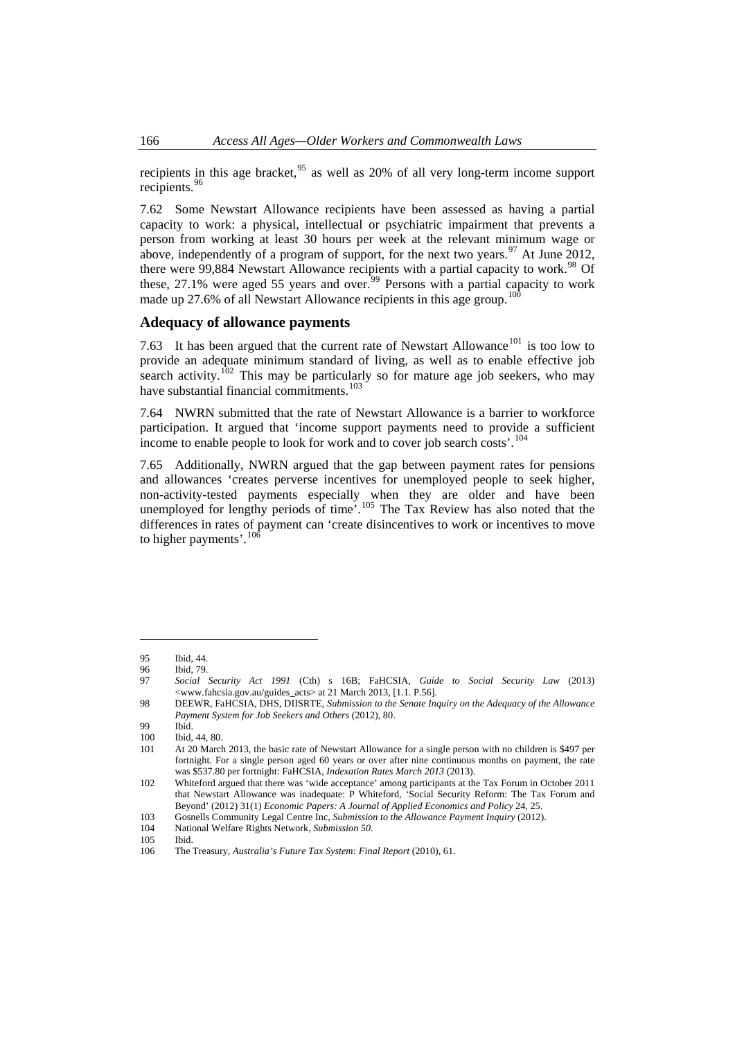<span id="page-15-0"></span>recipients in this age bracket,  $^{95}$  as well as 20% of all very long-term income support recipients.<sup>96</sup>

7.62 Some Newstart Allowance recipients have been assessed as having a partial capacity to work: a physical, intellectual or psychiatric impairment that prevents a person from working at least 30 hours per week at the relevant minimum wage or above, independently of a program of support, for the next two years.<sup>[97](#page-15-1)</sup> At June 2012, there were  $99,884$  Newstart Allowance recipients with a partial capacity to work.<sup>[98](#page-15-2)</sup> Of these, 27.1% were aged 55 years and over.<sup>[99](#page-15-3)</sup> Persons with a partial capacity to work made up 27.6% of all Newstart Allowance recipients in this age group.<sup>1</sup>

#### **Adequacy of allowance payments**

7.63 It has been argued that the current rate of Newstart Allowance<sup>[101](#page-15-5)</sup> is too low to provide an adequate minimum standard of living, as well as to enable effective job search activity.<sup>[102](#page-15-6)</sup> This may be particularly so for mature age job seekers, who may have substantial financial commitments.<sup>[103](#page-15-7)</sup>

7.64 NWRN submitted that the rate of Newstart Allowance is a barrier to workforce participation. It argued that 'income support payments need to provide a sufficient income to enable people to look for work and to cover job search costs'.[104](#page-15-8)

7.65 Additionally, NWRN argued that the gap between payment rates for pensions and allowances 'creates perverse incentives for unemployed people to seek higher, non-activity-tested payments especially when they are older and have been unemployed for lengthy periods of time'.<sup>[105](#page-15-9)</sup> The Tax Review has also noted that the differences in rates of payment can 'create disincentives to work or incentives to move to higher payments'.<sup>[106](#page-15-10)</sup>

 $\overline{a}$ 

National Welfare Rights Network, *Submission* 50.

<sup>95</sup> Ibid, 44.<br>96 Ibid, 79.

Ibid, 79.

<span id="page-15-1"></span><sup>97</sup> *Social Security Act 1991* (Cth) s 16B; FaHCSIA, *Guide to Social Security Law* (2013) <www.fahcsia.gov.au/guides\_acts> at 21 March 2013, [1.1. P.56].

<span id="page-15-2"></span><sup>98</sup> DEEWR, FaHCSIA, DHS, DIISRTE, *Submission to the Senate Inquiry on the Adequacy of the Allowance Payment System for Job Seekers and Others* (2012), 80.

<sup>99</sup> Ibid.

<sup>100</sup> Ibid, 44, 80.<br>101 At 20 Marc

<span id="page-15-5"></span><span id="page-15-4"></span><span id="page-15-3"></span>At 20 March 2013, the basic rate of Newstart Allowance for a single person with no children is \$497 per fortnight. For a single person aged 60 years or over after nine continuous months on payment, the rate was \$537.80 per fortnight: FaHCSIA, *Indexation Rates March 2013* (2013).

<span id="page-15-6"></span><sup>102</sup> Whiteford argued that there was 'wide acceptance' among participants at the Tax Forum in October 2011 that Newstart Allowance was inadequate: P Whiteford, 'Social Security Reform: The Tax Forum and Beyond' (2012) 31(1) *Economic Papers: A Journal of Applied Economics and Policy* 24, 25.

<span id="page-15-7"></span><sup>103</sup> Gosnells Community Legal Centre Inc, *Submission to the Allowance Payment Inquiry* (2012).

<span id="page-15-9"></span><span id="page-15-8"></span><sup>105</sup> Ibid.

<span id="page-15-10"></span><sup>106</sup> The Treasury, *Australia's Future Tax System: Final Report* (2010), 61.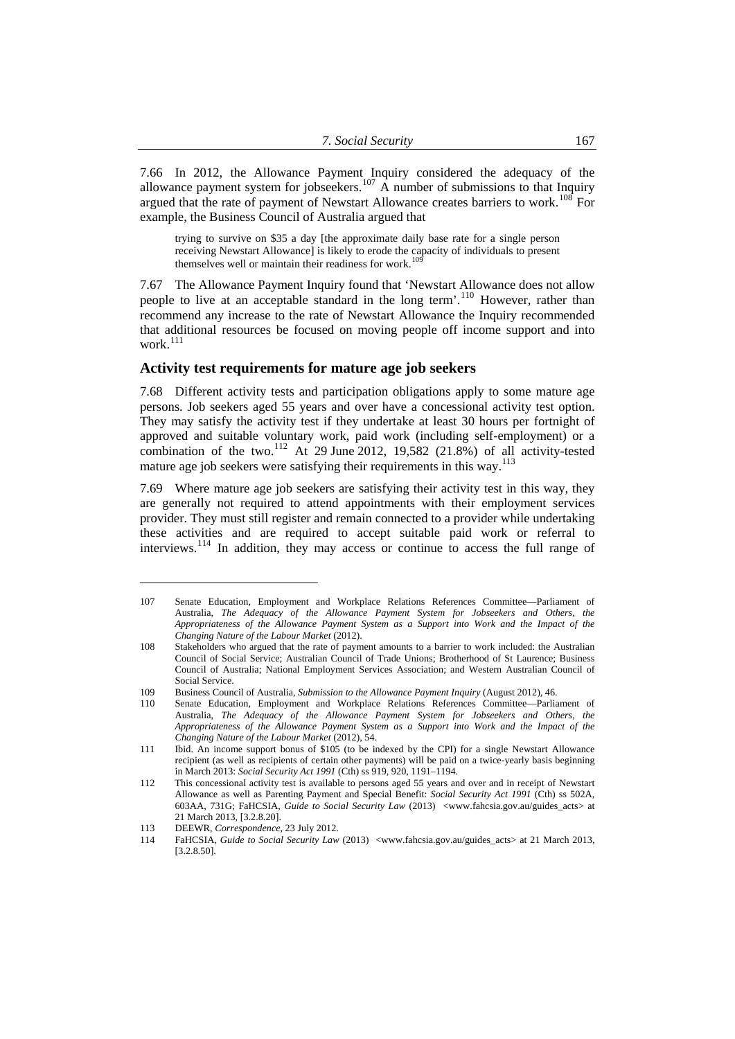<span id="page-16-0"></span>7.66 In 2012, the Allowance Payment Inquiry considered the adequacy of the allowance payment system for jobseekers.<sup>[107](#page-16-1)</sup> A number of submissions to that Inquiry argued that the rate of payment of Newstart Allowance creates barriers to work.<sup>[108](#page-16-2)</sup> For example, the Business Council of Australia argued that

trying to survive on \$35 a day [the approximate daily base rate for a single person receiving Newstart Allowance] is likely to erode the capacity of individuals to present themselves well or maintain their readiness for work.<sup>[109](#page-16-3)</sup>

7.67 The Allowance Payment Inquiry found that 'Newstart Allowance does not allow people to live at an acceptable standard in the long term'.[110](#page-16-4) However, rather than recommend any increase to the rate of Newstart Allowance the Inquiry recommended that additional resources be focused on moving people off income support and into work. $^{111}$  $^{111}$  $^{111}$ 

# **Activity test requirements for mature age job seekers**

7.68 Different activity tests and participation obligations apply to some mature age persons. Job seekers aged 55 years and over have a concessional activity test option. They may satisfy the activity test if they undertake at least 30 hours per fortnight of approved and suitable voluntary work, paid work (including self-employment) or a combination of the two.[112](#page-16-6) At 29 June 2012, 19,582 (21.8%) of all activity-tested mature age job seekers were satisfying their requirements in this way.<sup>[113](#page-16-7)</sup>

7.69 Where mature age job seekers are satisfying their activity test in this way, they are generally not required to attend appointments with their employment services provider. They must still register and remain connected to a provider while undertaking these activities and are required to accept suitable paid work or referral to interviews.[114](#page-16-8) In addition, they may access or continue to access the full range of

<span id="page-16-1"></span><sup>107</sup> Senate Education, Employment and Workplace Relations References Committee—Parliament of Australia, *The Adequacy of the Allowance Payment System for Jobseekers and Others, the Appropriateness of the Allowance Payment System as a Support into Work and the Impact of the Changing Nature of the Labour Market* (2012).

<span id="page-16-2"></span><sup>108</sup> Stakeholders who argued that the rate of payment amounts to a barrier to work included: the Australian Council of Social Service; Australian Council of Trade Unions; Brotherhood of St Laurence; Business Council of Australia; National Employment Services Association; and Western Australian Council of Social Service.

<span id="page-16-3"></span><sup>109</sup> Business Council of Australia, *Submission to the Allowance Payment Inquiry* (August 2012), 46.

<span id="page-16-4"></span><sup>110</sup> Senate Education, Employment and Workplace Relations References Committee—Parliament of Australia, *The Adequacy of the Allowance Payment System for Jobseekers and Others, the Appropriateness of the Allowance Payment System as a Support into Work and the Impact of the Changing Nature of the Labour Market* (2012), 54.

<span id="page-16-5"></span><sup>111</sup> Ibid. An income support bonus of \$105 (to be indexed by the CPI) for a single Newstart Allowance recipient (as well as recipients of certain other payments) will be paid on a twice-yearly basis beginning in March 2013: *Social Security Act 1991* (Cth) ss 919, 920, 1191–1194.

<span id="page-16-6"></span><sup>112</sup> This concessional activity test is available to persons aged 55 years and over and in receipt of Newstart Allowance as well as Parenting Payment and Special Benefit: *Social Security Act 1991* (Cth) ss 502A, 603AA, 731G; FaHCSIA, *Guide to Social Security Law* (2013) <www.fahcsia.gov.au/guides\_acts> at 21 March 2013, [3.2.8.20].

<span id="page-16-7"></span><sup>113</sup> DEEWR, *Correspondence*, 23 July 2012.

<span id="page-16-8"></span><sup>114</sup> FaHCSIA, *Guide to Social Security Law* (2013) <www.fahcsia.gov.au/guides\_acts> at 21 March 2013, [3.2.8.50].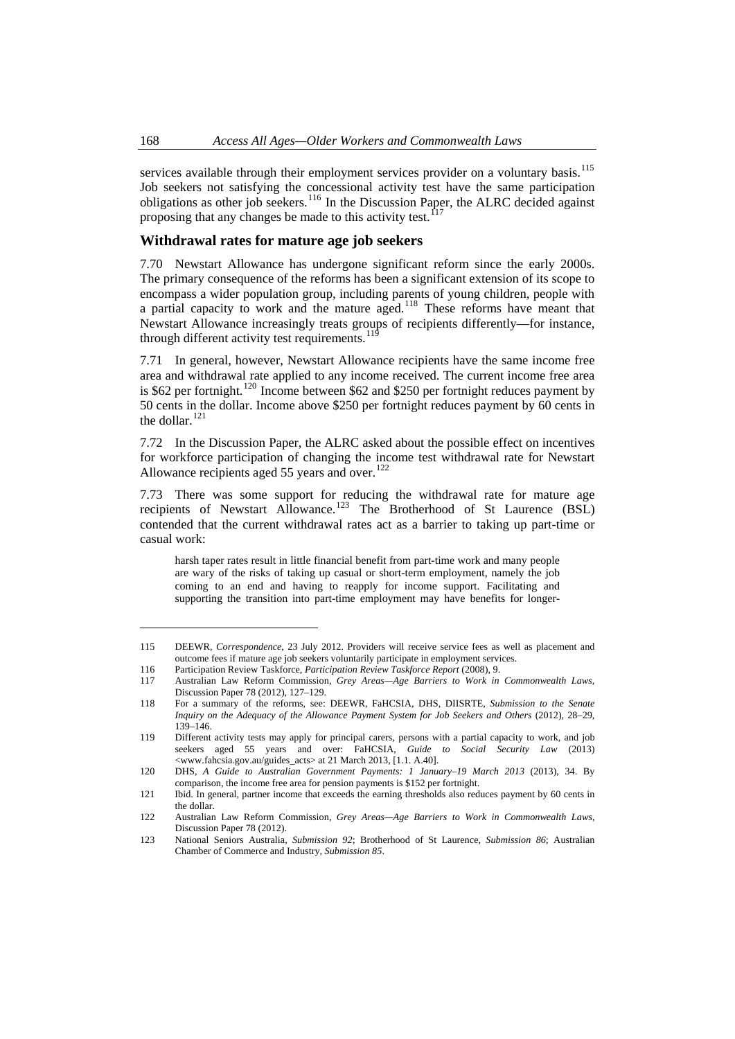<span id="page-17-0"></span>services available through their employment services provider on a voluntary basis.<sup>115</sup> Job seekers not satisfying the concessional activity test have the same participation obligations as other job seekers.<sup>116</sup> In the Discussion Paper, the ALRC decided against proposing that any changes be made to this activity test.<sup>117</sup>

## **Withdrawal rates for mature age job seekers**

7.70 Newstart Allowance has undergone significant reform since the early 2000s. The primary consequence of the reforms has been a significant extension of its scope to encompass a wider population group, including parents of young children, people with a partial capacity to work and the mature aged.<sup>[118](#page-17-1)</sup> These reforms have meant that Newstart Allowance increasingly treats groups of recipients differently—for instance, through different activity test requirements.<sup>[119](#page-17-2)</sup>

7.71 In general, however, Newstart Allowance recipients have the same income free area and withdrawal rate applied to any income received. The current income free area is \$62 per fortnight.<sup>[120](#page-17-3)</sup> Income between \$62 and \$250 per fortnight reduces payment by 50 cents in the dollar. Income above \$250 per fortnight reduces payment by 60 cents in the dollar.<sup>[121](#page-17-4)</sup>

7.72 In the Discussion Paper, the ALRC asked about the possible effect on incentives for workforce participation of changing the income test withdrawal rate for Newstart Allowance recipients aged 55 years and over. $122$ 

7.73 There was some support for reducing the withdrawal rate for mature age recipients of Newstart Allowance.<sup>[123](#page-17-6)</sup> The Brotherhood of St Laurence  $(BSL)$ contended that the current withdrawal rates act as a barrier to taking up part-time or casual work:

harsh taper rates result in little financial benefit from part-time work and many people are wary of the risks of taking up casual or short-term employment, namely the job coming to an end and having to reapply for income support. Facilitating and supporting the transition into part-time employment may have benefits for longer-

<sup>115</sup> DEEWR, *Correspondence*, 23 July 2012. Providers will receive service fees as well as placement and outcome fees if mature age job seekers voluntarily participate in employment services.

<sup>116</sup> Participation Review Taskforce, *Participation Review Taskforce Report* (2008), 9.

<sup>117</sup> Australian Law Reform Commission, *Grey Areas—Age Barriers to Work in Commonwealth Laws*, Discussion Paper 78 (2012), 127–129.

<span id="page-17-1"></span><sup>118</sup> For a summary of the reforms, see: DEEWR, FaHCSIA, DHS, DIISRTE, *Submission to the Senate Inquiry on the Adequacy of the Allowance Payment System for Job Seekers and Others* (2012), 28–29, 139–146.

<span id="page-17-2"></span><sup>119</sup> Different activity tests may apply for principal carers, persons with a partial capacity to work, and job seekers aged 55 years and over: FaHCSIA, *Guide to Social Security Law* (2013) <www.fahcsia.gov.au/guides\_acts> at 21 March 2013, [1.1. A.40].

<span id="page-17-3"></span><sup>120</sup> DHS, *A Guide to Australian Government Payments: 1 January–19 March 2013* (2013), 34. By comparison, the income free area for pension payments is \$152 per fortnight.

<span id="page-17-4"></span><sup>121</sup> Ibid. In general, partner income that exceeds the earning thresholds also reduces payment by 60 cents in the dollar.

<span id="page-17-5"></span><sup>122</sup> Australian Law Reform Commission, *Grey Areas—Age Barriers to Work in Commonwealth Laws*, Discussion Paper 78 (2012).

<span id="page-17-6"></span><sup>123</sup> National Seniors Australia, *Submission 92*; Brotherhood of St Laurence, *Submission 86*; Australian Chamber of Commerce and Industry, *Submission 85*.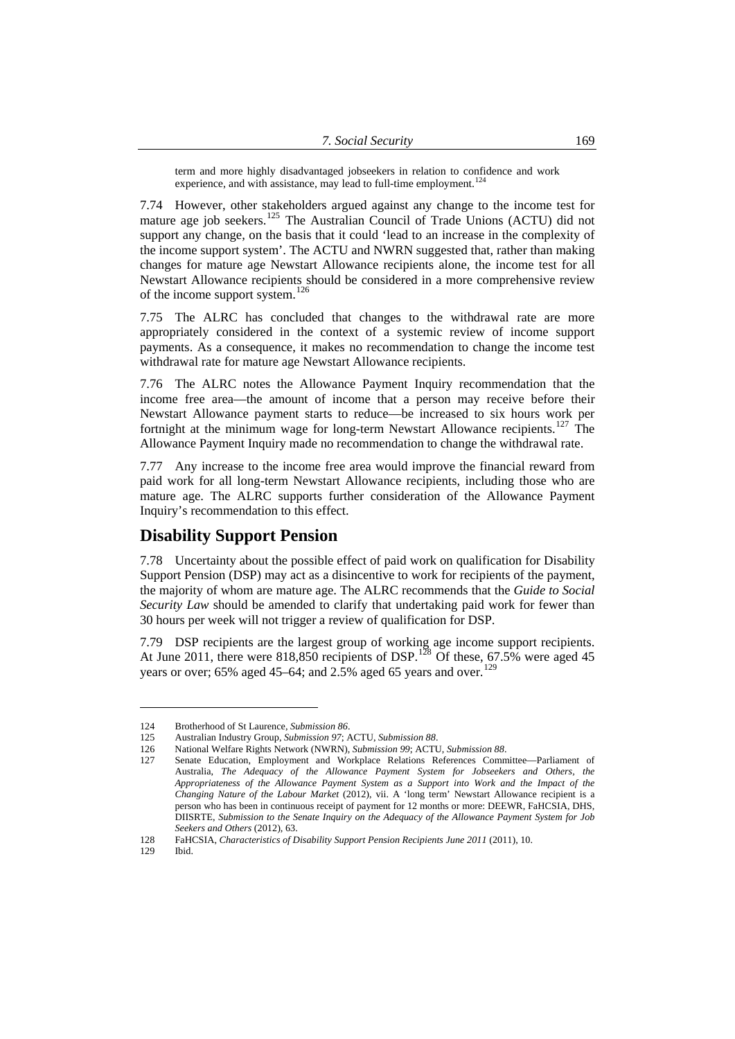| 7. Social Security | 169 |
|--------------------|-----|
|                    |     |

<span id="page-18-0"></span>term and more highly disadvantaged jobseekers in relation to confidence and work experience, and with assistance, may lead to full-time employment.<sup>[124](#page-18-1)</sup>

7.74 However, other stakeholders argued against any change to the income test for mature age job seekers.<sup>[125](#page-18-2)</sup> The Australian Council of Trade Unions (ACTU) did not support any change, on the basis that it could 'lead to an increase in the complexity of the income support system'. The ACTU and NWRN suggested that, rather than making changes for mature age Newstart Allowance recipients alone, the income test for all Newstart Allowance recipients should be considered in a more comprehensive review of the income support system.<sup>[126](#page-18-3)</sup>

7.75 The ALRC has concluded that changes to the withdrawal rate are more appropriately considered in the context of a systemic review of income support payments. As a consequence, it makes no recommendation to change the income test withdrawal rate for mature age Newstart Allowance recipients.

7.76 The ALRC notes the Allowance Payment Inquiry recommendation that the income free area—the amount of income that a person may receive before their Newstart Allowance payment starts to reduce—be increased to six hours work per fortnight at the minimum wage for long-term Newstart Allowance recipients.<sup>[127](#page-18-4)</sup> The Allowance Payment Inquiry made no recommendation to change the withdrawal rate.

7.77 Any increase to the income free area would improve the financial reward from paid work for all long-term Newstart Allowance recipients, including those who are mature age. The ALRC supports further consideration of the Allowance Payment Inquiry's recommendation to this effect.

# **Disability Support Pension**

7.78 Uncertainty about the possible effect of paid work on qualification for Disability Support Pension (DSP) may act as a disincentive to work for recipients of the payment, the majority of whom are mature age. The ALRC recommends that the *Guide to Social Security Law* should be amended to clarify that undertaking paid work for fewer than 30 hours per week will not trigger a review of qualification for DSP.

7.79 DSP recipients are the largest group of working age income support recipients. At June 2011, there were  $818,850$  recipients of DSP.<sup>[128](#page-18-5)</sup> Of these, 67.5% were aged 45 years or over; 65% aged 45–64; and 2.5% aged 65 years and over.<sup>[129](#page-18-6)</sup>

<sup>124</sup> Brotherhood of St Laurence, *Submission 86*.

<span id="page-18-2"></span><span id="page-18-1"></span><sup>125</sup> Australian Industry Group, *Submission 97*; ACTU, *Submission 88*.

<sup>126</sup> National Welfare Rights Network (NWRN), *Submission 99*; ACTU, *Submission 88*.

<span id="page-18-4"></span><span id="page-18-3"></span><sup>127</sup> Senate Education, Employment and Workplace Relations References Committee—Parliament of Australia, *The Adequacy of the Allowance Payment System for Jobseekers and Others, the Appropriateness of the Allowance Payment System as a Support into Work and the Impact of the Changing Nature of the Labour Market* (2012), vii. A 'long term' Newstart Allowance recipient is a person who has been in continuous receipt of payment for 12 months or more: DEEWR, FaHCSIA, DHS, DIISRTE, *Submission to the Senate Inquiry on the Adequacy of the Allowance Payment System for Job Seekers and Others* (2012), 63.

<span id="page-18-5"></span><sup>128</sup> FaHCSIA, *Characteristics of Disability Support Pension Recipients June 2011* (2011), 10.

<span id="page-18-6"></span><sup>129</sup> Ibid.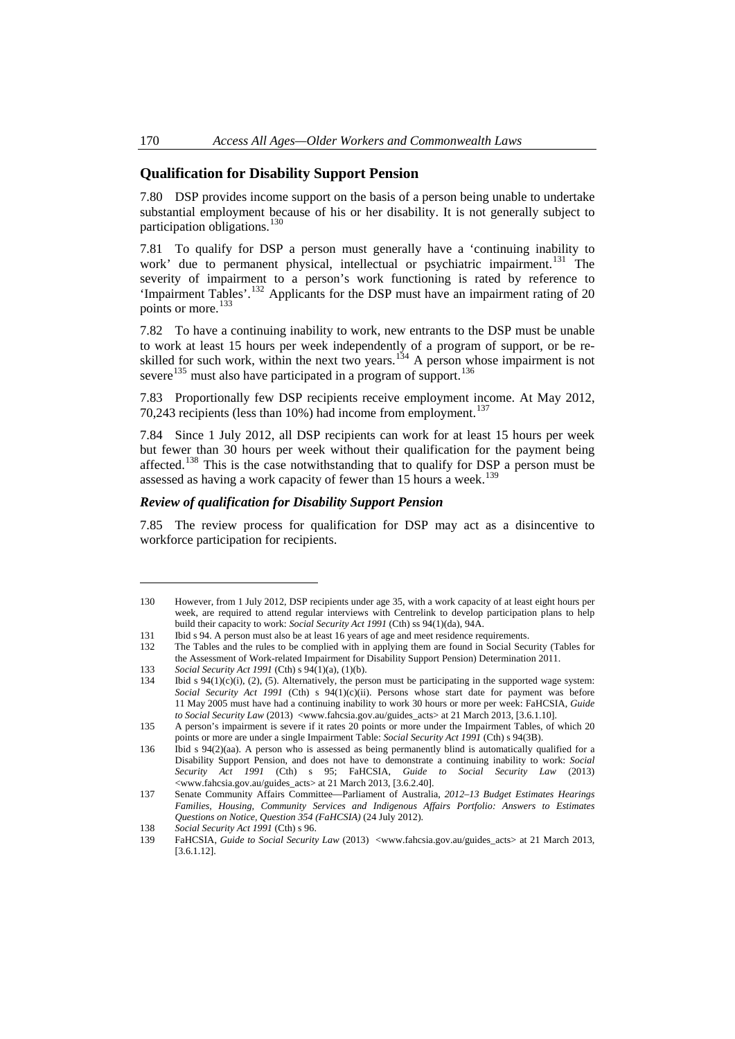# <span id="page-19-0"></span>**Qualification for Disability Support Pension**

7.80 DSP provides income support on the basis of a person being unable to undertake substantial employment because of his or her disability. It is not generally subject to participation obligations. $^{130}$  $^{130}$  $^{130}$ 

7.81 To qualify for DSP a person must generally have a 'continuing inability to work' due to permanent physical, intellectual or psychiatric impairment.<sup>[131](#page-19-2)</sup> The severity of impairment to a person's work functioning is rated by reference to 'Impairment Tables'.[132](#page-19-3) Applicants for the DSP must have an impairment rating of 20 points or more.<sup>[133](#page-19-4)</sup>

7.82 To have a continuing inability to work, new entrants to the DSP must be unable to work at least 15 hours per week independently of a program of support, or be re-skilled for such work, within the next two years.<sup>[134](#page-19-5)</sup> A person whose impairment is not severe<sup>[135](#page-19-6)</sup> must also have participated in a program of support.<sup>[136](#page-19-7)</sup>

7.83 Proportionally few DSP recipients receive employment income. At May 2012, 70,243 recipients (less than  $10\%$ ) had income from employment.<sup>[137](#page-19-8)</sup>

7.84 Since 1 July 2012, all DSP recipients can work for at least 15 hours per week but fewer than 30 hours per week without their qualification for the payment being affected.<sup>[138](#page-19-9)</sup> This is the case notwithstanding that to qualify for DSP a person must be assessed as having a work capacity of fewer than 15 hours a week.<sup>[139](#page-19-10)</sup>

## *Review of qualification for Disability Support Pension*

7.85 The review process for qualification for DSP may act as a disincentive to workforce participation for recipients.

<span id="page-19-1"></span><sup>130</sup> However, from 1 July 2012, DSP recipients under age 35, with a work capacity of at least eight hours per week, are required to attend regular interviews with Centrelink to develop participation plans to help build their capacity to work: *Social Security Act 1991* (Cth) ss 94(1)(da), 94A.

<span id="page-19-2"></span><sup>131</sup> Ibid s 94. A person must also be at least 16 years of age and meet residence requirements.

<span id="page-19-3"></span><sup>132</sup> The Tables and the rules to be complied with in applying them are found in Social Security (Tables for the Assessment of Work-related Impairment for Disability Support Pension) Determination 2011.

<span id="page-19-4"></span><sup>133</sup> *Social Security Act 1991* (Cth) s 94(1)(a), (1)(b).

<span id="page-19-5"></span><sup>134</sup> Ibid s 94(1)(c)(i), (2), (5). Alternatively, the person must be participating in the supported wage system: Social Security Act 1991 (Cth) s 94(1)(c)(ii). Persons whose start date for payment was before 11 May 2005 must have had a continuing inability to work 30 hours or more per week: FaHCSIA, *Guide to Social Security Law* (2013) <www.fahcsia.gov.au/guides\_acts> at 21 March 2013, [3.6.1.10].

<span id="page-19-6"></span><sup>135</sup> A person's impairment is severe if it rates 20 points or more under the Impairment Tables, of which 20 points or more are under a single Impairment Table: *Social Security Act 1991* (Cth) s 94(3B).

<span id="page-19-7"></span><sup>136</sup> Ibid s 94(2)(aa). A person who is assessed as being permanently blind is automatically qualified for a Disability Support Pension, and does not have to demonstrate a continuing inability to work: *Social Security Act 1991* (Cth) s 95; FaHCSIA, *Guide to Social Security Law* (2013) <www.fahcsia.gov.au/guides\_acts> at 21 March 2013, [3.6.2.40].

<span id="page-19-8"></span><sup>137</sup> Senate Community Affairs Committee—Parliament of Australia, *2012–13 Budget Estimates Hearings Families, Housing, Community Services and Indigenous Affairs Portfolio: Answers to Estimates Questions on Notice, Question 354 (FaHCSIA)* (24 July 2012).

<sup>138</sup> *Social Security Act 1991* (Cth) s 96.

<span id="page-19-10"></span><span id="page-19-9"></span><sup>139</sup> FaHCSIA, *Guide to Social Security Law* (2013) <www.fahcsia.gov.au/guides\_acts> at 21 March 2013, [3.6.1.12].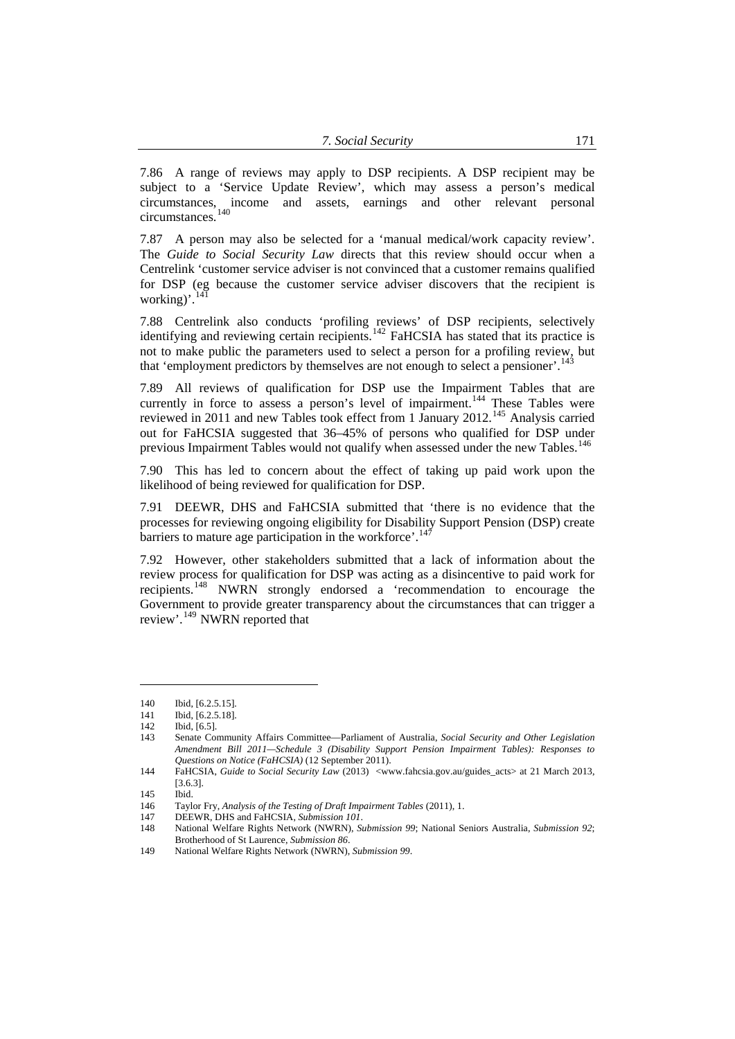7.86 A range of reviews may apply to DSP recipients. A DSP recipient may be subject to a 'Service Update Review', which may assess a person's medical circumstances, income and assets, earnings and other relevant personal circumstances.[140](#page-20-0)

7.87 A person may also be selected for a 'manual medical/work capacity review'. The *Guide to Social Security Law* directs that this review should occur when a Centrelink 'customer service adviser is not convinced that a customer remains qualified for DSP (eg because the customer service adviser discovers that the recipient is working)'.

7.88 Centrelink also conducts 'profiling reviews' of DSP recipients, selectively identifying and reviewing certain recipients.<sup>[142](#page-20-2)</sup> FaHCSIA has stated that its practice is not to make public the parameters used to select a person for a profiling review, but that 'employment predictors by themselves are not enough to select a pensioner'.<sup>[143](#page-20-3)</sup>

7.89 All reviews of qualification for DSP use the Impairment Tables that are currently in force to assess a person's level of impairment.<sup>[144](#page-20-4)</sup> These Tables were reviewed in 2011 and new Tables took effect from 1 January 2012.<sup>[145](#page-20-5)</sup> Analysis carried out for FaHCSIA suggested that 36–45% of persons who qualified for DSP under previous Impairment Tables would not qualify when assessed under the new Tables.<sup>[146](#page-20-6)</sup>

7.90 This has led to concern about the effect of taking up paid work upon the likelihood of being reviewed for qualification for DSP.

7.91 DEEWR, DHS and FaHCSIA submitted that 'there is no evidence that the processes for reviewing ongoing eligibility for Disability Support Pension (DSP) create barriers to mature age participation in the workforce'.<sup>[147](#page-20-7)</sup>

7.92 However, other stakeholders submitted that a lack of information about the review process for qualification for DSP was acting as a disincentive to paid work for recipients.[148](#page-20-8) NWRN strongly endorsed a 'recommendation to encourage the Government to provide greater transparency about the circumstances that can trigger a review'.<sup>[149](#page-20-9)</sup> NWRN reported that

<span id="page-20-0"></span><sup>140</sup> Ibid, [6.2.5.15].

<sup>141</sup> Ibid, [6.2.5.18].

<sup>142</sup> Ibid, [6.5].

<span id="page-20-3"></span><span id="page-20-2"></span><span id="page-20-1"></span><sup>143</sup> Senate Community Affairs Committee—Parliament of Australia, *Social Security and Other Legislation Amendment Bill 2011—Schedule 3 (Disability Support Pension Impairment Tables): Responses to Questions on Notice (FaHCSIA)* (12 September 2011).

<span id="page-20-4"></span><sup>144</sup> FaHCSIA, *Guide to Social Security Law* (2013) <www.fahcsia.gov.au/guides\_acts> at 21 March 2013, [3.6.3].

<span id="page-20-5"></span> $145$  Ibid.

<span id="page-20-6"></span><sup>146</sup> Taylor Fry, *Analysis of the Testing of Draft Impairment Tables* (2011), 1.

<sup>147</sup> DEEWR, DHS and FaHCSIA, *Submission 101*.

<span id="page-20-8"></span><span id="page-20-7"></span><sup>148</sup> National Welfare Rights Network (NWRN), *Submission 99*; National Seniors Australia, *Submission 92*; Brotherhood of St Laurence, *Submission 86*.

<span id="page-20-9"></span><sup>149</sup> National Welfare Rights Network (NWRN), *Submission 99*.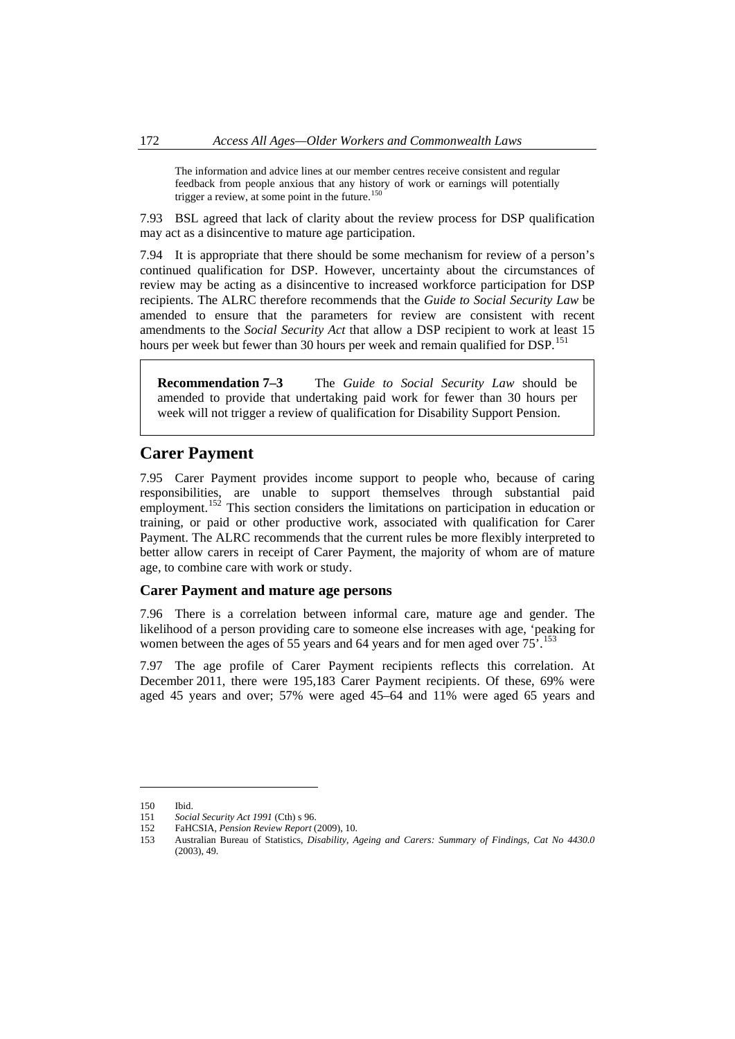<span id="page-21-0"></span>The information and advice lines at our member centres receive consistent and regular feedback from people anxious that any history of work or earnings will potentially trigger a review, at some point in the future.<sup>[150](#page-21-1)</sup>

7.93 BSL agreed that lack of clarity about the review process for DSP qualification may act as a disincentive to mature age participation.

7.94 It is appropriate that there should be some mechanism for review of a person's continued qualification for DSP. However, uncertainty about the circumstances of review may be acting as a disincentive to increased workforce participation for DSP recipients. The ALRC therefore recommends that the *Guide to Social Security Law* be amended to ensure that the parameters for review are consistent with recent amendments to the *Social Security Act* that allow a DSP recipient to work at least 15 hours per week but fewer than 30 hours per week and remain qualified for DSP.<sup>[151](#page-21-2)</sup>

**Recommendation 7–3** The *Guide to Social Security Law* should be amended to provide that undertaking paid work for fewer than 30 hours per week will not trigger a review of qualification for Disability Support Pension.

# **Carer Payment**

7.95 Carer Payment provides income support to people who, because of caring responsibilities, are unable to support themselves through substantial paid employment.<sup>[152](#page-21-3)</sup> This section considers the limitations on participation in education or training, or paid or other productive work, associated with qualification for Carer Payment. The ALRC recommends that the current rules be more flexibly interpreted to better allow carers in receipt of Carer Payment, the majority of whom are of mature age, to combine care with work or study.

#### **Carer Payment and mature age persons**

7.96 There is a correlation between informal care, mature age and gender. The likelihood of a person providing care to someone else increases with age, 'peaking for women between the ages of 55 years and 64 years and for men aged over 75<sup>7</sup>.<sup>[153](#page-21-4)</sup>

7.97 The age profile of Carer Payment recipients reflects this correlation. At December 2011, there were 195,183 Carer Payment recipients. Of these, 69% were aged 45 years and over; 57% were aged 45–64 and 11% were aged 65 years and

<span id="page-21-2"></span><span id="page-21-1"></span><sup>150</sup> Ibid.

<sup>151</sup> *Social Security Act 1991* (Cth) s 96.

<span id="page-21-3"></span><sup>152</sup> FaHCSIA, *Pension Review Report* (2009), 10.

<span id="page-21-4"></span><sup>153</sup> Australian Bureau of Statistics, *Disability, Ageing and Carers: Summary of Findings, Cat No 4430.0* (2003), 49.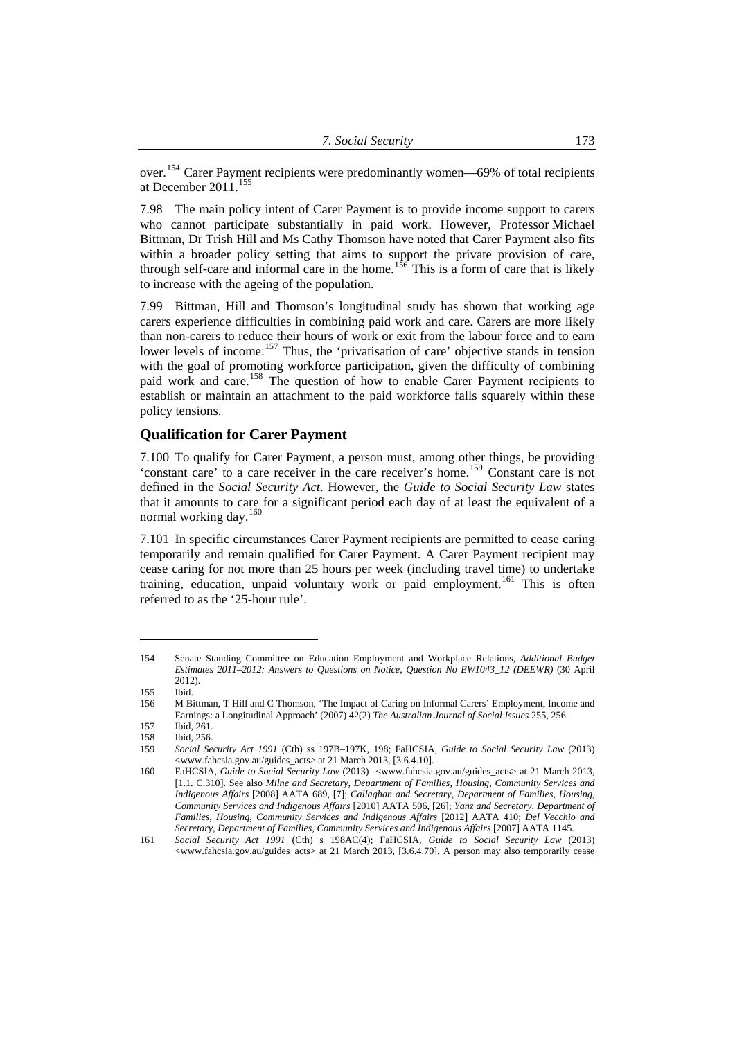<span id="page-22-0"></span>over.<sup>154</sup> Carer Payment recipients were predominantly women—69% of total recipients at December  $2011$ .<sup>155</sup>

7.98 The main policy intent of Carer Payment is to provide income support to carers who cannot participate substantially in paid work. However, Professor Michael Bittman, Dr Trish Hill and Ms Cathy Thomson have noted that Carer Payment also fits within a broader policy setting that aims to support the private provision of care, through self-care and informal care in the home.<sup>[156](#page-22-1)</sup> This is a form of care that is likely to increase with the ageing of the population.

7.99 Bittman, Hill and Thomson's longitudinal study has shown that working age carers experience difficulties in combining paid work and care. Carers are more likely than non-carers to reduce their hours of work or exit from the labour force and to earn lower levels of income.<sup>[157](#page-22-2)</sup> Thus, the 'privatisation of care' objective stands in tension with the goal of promoting workforce participation, given the difficulty of combining paid work and care.<sup>[158](#page-22-3)</sup> The question of how to enable Carer Payment recipients to establish or maintain an attachment to the paid workforce falls squarely within these policy tensions.

#### **Qualification for Carer Payment**

7.100 To qualify for Carer Payment, a person must, among other things, be providing 'constant care' to a care receiver in the care receiver's home.[159](#page-22-4) Constant care is not defined in the *Social Security Act*. However, the *Guide to Social Security Law* states that it amounts to care for a significant period each day of at least the equivalent of a normal working day.<sup>[160](#page-22-5)</sup>

7.101 In specific circumstances Carer Payment recipients are permitted to cease caring temporarily and remain qualified for Carer Payment. A Carer Payment recipient may cease caring for not more than 25 hours per week (including travel time) to undertake training, education, unpaid voluntary work or paid employment.<sup>[161](#page-22-6)</sup> This is often referred to as the '25-hour rule'.

<sup>154</sup> Senate Standing Committee on Education Employment and Workplace Relations, *Additional Budget Estimates 2011–2012: Answers to Questions on Notice, Question No EW1043\_12 (DEEWR)* (30 April 2012).

<sup>155</sup> Ibid.

<span id="page-22-1"></span><sup>156</sup> M Bittman, T Hill and C Thomson, 'The Impact of Caring on Informal Carers' Employment, Income and Earnings: a Longitudinal Approach' (2007) 42(2) *The Australian Journal of Social Issues* 255, 256.

<span id="page-22-2"></span><sup>157</sup> Ibid, 261.

<sup>158</sup> Ibid, 256.<br>159 Social Se

<span id="page-22-4"></span><span id="page-22-3"></span><sup>159</sup> *Social Security Act 1991* (Cth) ss 197B–197K, 198; FaHCSIA, *Guide to Social Security Law* (2013) <www.fahcsia.gov.au/guides\_acts> at 21 March 2013, [3.6.4.10].

<span id="page-22-5"></span><sup>160</sup> FaHCSIA, *Guide to Social Security Law* (2013) <www.fahcsia.gov.au/guides\_acts> at 21 March 2013, [1.1. C.310]. See also *Milne and Secretary, Department of Families, Housing, Community Services and Indigenous Affairs* [2008] AATA 689, [7]; *Callaghan and Secretary, Department of Families, Housing, Community Services and Indigenous Affairs* [2010] AATA 506, [26]; *Yanz and Secretary, Department of Families, Housing, Community Services and Indigenous Affairs* [2012] AATA 410; *Del Vecchio and Secretary, Department of Families, Community Services and Indigenous Affairs* [2007] AATA 1145.

<span id="page-22-6"></span><sup>161</sup> *Social Security Act 1991* (Cth) s 198AC(4); FaHCSIA, *Guide to Social Security Law* (2013) <www.fahcsia.gov.au/guides\_acts> at 21 March 2013, [3.6.4.70]. A person may also temporarily cease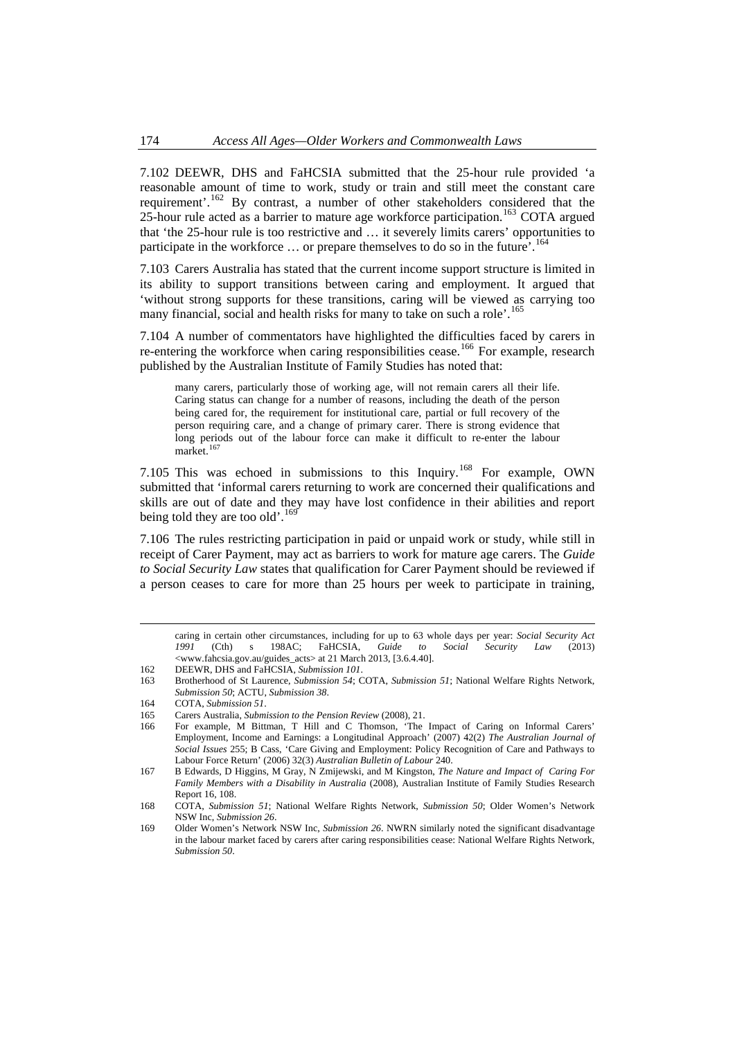7.102 DEEWR, DHS and FaHCSIA submitted that the 25-hour rule provided 'a reasonable amount of time to work, study or train and still meet the constant care requirement'.[162](#page-23-0) By contrast, a number of other stakeholders considered that the  $25$ -hour rule acted as a barrier to mature age workforce participation.<sup>[163](#page-23-1)</sup> COTA argued that 'the 25-hour rule is too restrictive and … it severely limits carers' opportunities to participate in the workforce  $\ldots$  or prepare themselves to do so in the future'.<sup>[164](#page-23-2)</sup>

7.103 Carers Australia has stated that the current income support structure is limited in its ability to support transitions between caring and employment. It argued that 'without strong supports for these transitions, caring will be viewed as carrying too many financial, social and health risks for many to take on such a role'.<sup>[165](#page-23-3)</sup>

7.104 A number of commentators have highlighted the difficulties faced by carers in re-entering the workforce when caring responsibilities cease.<sup>[166](#page-23-4)</sup> For example, research published by the Australian Institute of Family Studies has noted that:

many carers, particularly those of working age, will not remain carers all their life. Caring status can change for a number of reasons, including the death of the person being cared for, the requirement for institutional care, partial or full recovery of the person requiring care, and a change of primary carer. There is strong evidence that long periods out of the labour force can make it difficult to re-enter the labour market.<sup>[167](#page-23-5)</sup>

7.105 This was echoed in submissions to this Inquiry.<sup>[168](#page-23-6)</sup> For example, OWN submitted that 'informal carers returning to work are concerned their qualifications and skills are out of date and they may have lost confidence in their abilities and report being told they are too old'.<sup>[169](#page-23-7)</sup>

7.106 The rules restricting participation in paid or unpaid work or study, while still in receipt of Carer Payment, may act as barriers to work for mature age carers. The *Guide to Social Security Law* states that qualification for Carer Payment should be reviewed if a person ceases to care for more than 25 hours per week to participate in training,

 caring in certain other circumstances, including for up to 63 whole days per year: *Social Security Act 1991* (Cth) s 198AC; FaHCSIA, *Guide to Social Security Law* (2013) <www.fahcsia.gov.au/guides\_acts> at 21 March 2013, [3.6.4.40].

<span id="page-23-0"></span>162 DEEWR, DHS and FaHCSIA, *Submission 101*.

<span id="page-23-1"></span><sup>163</sup> Brotherhood of St Laurence, *Submission 54*; COTA, *Submission 51*; National Welfare Rights Network, *Submission 50*; ACTU, *Submission 38*.

<span id="page-23-2"></span><sup>164</sup> COTA, *Submission 51*.

<sup>165</sup> Carers Australia, *Submission to the Pension Review* (2008), 21.

<span id="page-23-4"></span><span id="page-23-3"></span><sup>166</sup> For example, M Bittman, T Hill and C Thomson, 'The Impact of Caring on Informal Carers' Employment, Income and Earnings: a Longitudinal Approach' (2007) 42(2) *The Australian Journal of Social Issues* 255; B Cass, 'Care Giving and Employment: Policy Recognition of Care and Pathways to Labour Force Return' (2006) 32(3) *Australian Bulletin of Labour* 240.

<span id="page-23-5"></span><sup>167</sup> B Edwards, D Higgins, M Gray, N Zmijewski, and M Kingston, *The Nature and Impact of Caring For Family Members with a Disability in Australia* (2008), Australian Institute of Family Studies Research Report 16, 108.

<span id="page-23-6"></span><sup>168</sup> COTA, *Submission 51*; National Welfare Rights Network, *Submission 50*; Older Women's Network NSW Inc, *Submission 26*.

<span id="page-23-7"></span><sup>169</sup> Older Women's Network NSW Inc, *Submission 26*. NWRN similarly noted the significant disadvantage in the labour market faced by carers after caring responsibilities cease: National Welfare Rights Network, *Submission 50*.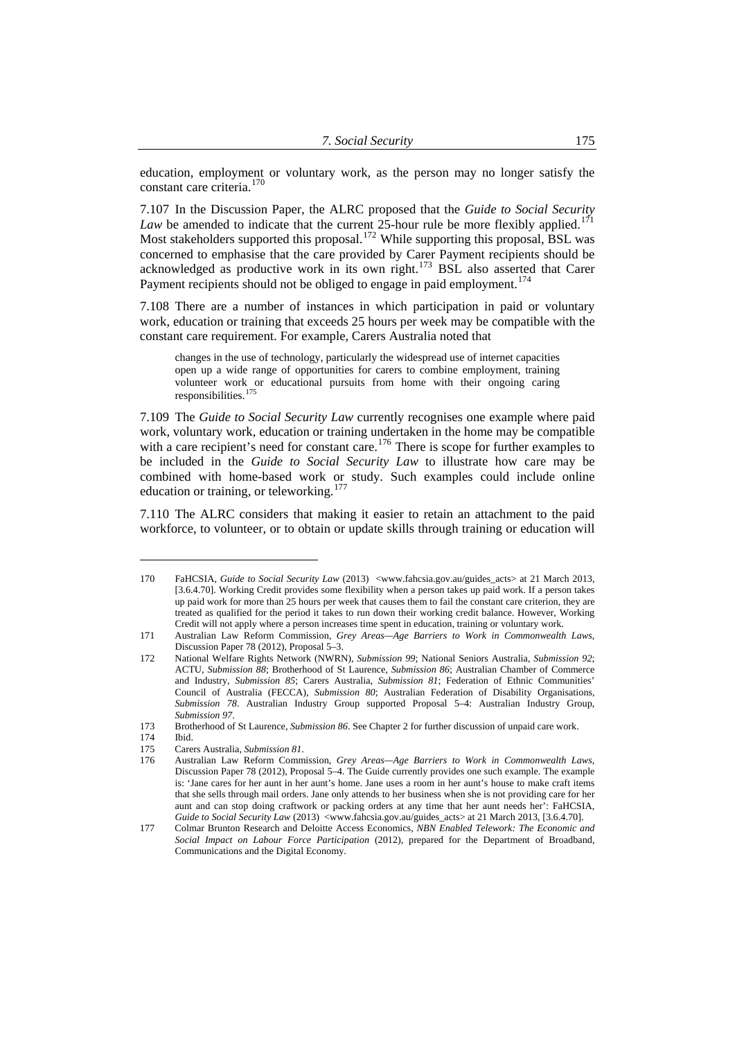education, employment or voluntary work, as the person may no longer satisfy the constant care criteria.<sup>170</sup>

7.107 In the Discussion Paper, the ALRC proposed that the *Guide to Social Security Law* be amended to indicate that the current  $25$ -hour rule be more flexibly applied.<sup>[171](#page-24-0)</sup> Most stakeholders supported this proposal.<sup>[172](#page-24-1)</sup> While supporting this proposal, BSL was concerned to emphasise that the care provided by Carer Payment recipients should be acknowledged as productive work in its own right. $173$  BSL also asserted that Carer Payment recipients should not be obliged to engage in paid employment.<sup>[174](#page-24-3)</sup>

7.108 There are a number of instances in which participation in paid or voluntary work, education or training that exceeds 25 hours per week may be compatible with the constant care requirement. For example, Carers Australia noted that

changes in the use of technology, particularly the widespread use of internet capacities open up a wide range of opportunities for carers to combine employment, training volunteer work or educational pursuits from home with their ongoing caring responsibilities.<sup>[175](#page-24-4)</sup>

7.109 The *Guide to Social Security Law* currently recognises one example where paid work, voluntary work, education or training undertaken in the home may be compatible with a care recipient's need for constant care.<sup>[176](#page-24-5)</sup> There is scope for further examples to be included in the *Guide to Social Security Law* to illustrate how care may be combined with home-based work or study. Such examples could include online education or training, or teleworking.<sup>[177](#page-24-6)</sup>

7.110 The ALRC considers that making it easier to retain an attachment to the paid workforce, to volunteer, or to obtain or update skills through training or education will

<sup>170</sup> FaHCSIA, *Guide to Social Security Law* (2013) <www.fahcsia.gov.au/guides\_acts> at 21 March 2013, [3.6.4.70]. Working Credit provides some flexibility when a person takes up paid work. If a person takes up paid work for more than 25 hours per week that causes them to fail the constant care criterion, they are treated as qualified for the period it takes to run down their working credit balance. However, Working Credit will not apply where a person increases time spent in education, training or voluntary work.

<span id="page-24-0"></span><sup>171</sup> Australian Law Reform Commission, *Grey Areas—Age Barriers to Work in Commonwealth Laws*, Discussion Paper 78 (2012), Proposal 5–3.

<span id="page-24-1"></span><sup>172</sup> National Welfare Rights Network (NWRN), *Submission 99*; National Seniors Australia, *Submission 92*; ACTU, *Submission 88*; Brotherhood of St Laurence, *Submission 86*; Australian Chamber of Commerce and Industry, *Submission 85*; Carers Australia, *Submission 81*; Federation of Ethnic Communities' Council of Australia (FECCA), *Submission 80*; Australian Federation of Disability Organisations, *Submission 78*. Australian Industry Group supported Proposal 5–4: Australian Industry Group, *Submission 97*.

<sup>173</sup> Brotherhood of St Laurence, *Submission 86*. See Chapter 2 for further discussion of unpaid care work.

<span id="page-24-3"></span><span id="page-24-2"></span><sup>174</sup> Ibid.

<sup>175</sup> Carers Australia, *Submission 81*.

<span id="page-24-5"></span><span id="page-24-4"></span><sup>176</sup> Australian Law Reform Commission, *Grey Areas—Age Barriers to Work in Commonwealth Laws*, Discussion Paper 78 (2012), Proposal 5–4. The Guide currently provides one such example. The example is: 'Jane cares for her aunt in her aunt's home. Jane uses a room in her aunt's house to make craft items that she sells through mail orders. Jane only attends to her business when she is not providing care for her aunt and can stop doing craftwork or packing orders at any time that her aunt needs her': FaHCSIA, *Guide to Social Security Law* (2013) <www.fahcsia.gov.au/guides\_acts> at 21 March 2013, [3.6.4.70].

<span id="page-24-6"></span><sup>177</sup> Colmar Brunton Research and Deloitte Access Economics, *NBN Enabled Telework: The Economic and Social Impact on Labour Force Participation* (2012), prepared for the Department of Broadband, Communications and the Digital Economy.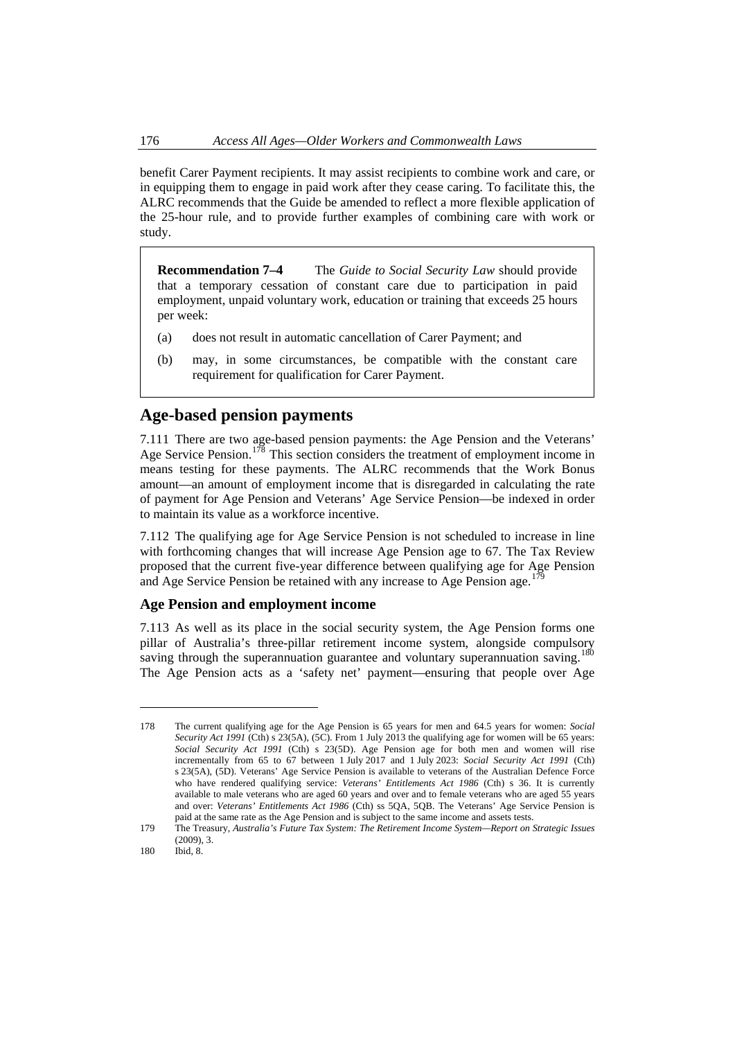<span id="page-25-0"></span>benefit Carer Payment recipients. It may assist recipients to combine work and care, or in equipping them to engage in paid work after they cease caring. To facilitate this, the ALRC recommends that the Guide be amended to reflect a more flexible application of the 25-hour rule, and to provide further examples of combining care with work or study.

**Recommendation 7–4** The *Guide to Social Security Law* should provide that a temporary cessation of constant care due to participation in paid employment, unpaid voluntary work, education or training that exceeds 25 hours per week:

- (a) does not result in automatic cancellation of Carer Payment; and
- (b) may, in some circumstances, be compatible with the constant care requirement for qualification for Carer Payment.

# **Age-based pension payments**

7.111 There are two age-based pension payments: the Age Pension and the Veterans' Age Service Pension.[178](#page-25-1) This section considers the treatment of employment income in means testing for these payments. The ALRC recommends that the Work Bonus amount—an amount of employment income that is disregarded in calculating the rate of payment for Age Pension and Veterans' Age Service Pension—be indexed in order to maintain its value as a workforce incentive.

7.112 The qualifying age for Age Service Pension is not scheduled to increase in line with forthcoming changes that will increase Age Pension age to 67. The Tax Review proposed that the current five-year difference between qualifying age for Age Pension and Age Service Pension be retained with any increase to Age Pension age.

## **Age Pension and employment income**

7.113 As well as its place in the social security system, the Age Pension forms one pillar of Australia's three-pillar retirement income system, alongside compulsory saving through the superannuation guarantee and voluntary superannuation saving.<sup>[180](#page-25-3)</sup> The Age Pension acts as a 'safety net' payment—ensuring that people over Age

<span id="page-25-1"></span><sup>178</sup> The current qualifying age for the Age Pension is 65 years for men and 64.5 years for women: *Social Security Act 1991* (Cth) s 23(5A), (5C). From 1 July 2013 the qualifying age for women will be 65 years: *Social Security Act 1991* (Cth) s 23(5D). Age Pension age for both men and women will rise incrementally from 65 to 67 between 1 July 2017 and 1 July 2023: *Social Security Act 1991* (Cth) s 23(5A), (5D). Veterans' Age Service Pension is available to veterans of the Australian Defence Force who have rendered qualifying service: *Veterans' Entitlements Act 1986* (Cth) s 36. It is currently available to male veterans who are aged 60 years and over and to female veterans who are aged 55 years and over: *Veterans' Entitlements Act 1986* (Cth) ss 5QA, 5QB. The Veterans' Age Service Pension is paid at the same rate as the Age Pension and is subject to the same income and assets tests.

<span id="page-25-2"></span><sup>179</sup> The Treasury, *Australia's Future Tax System: The Retirement Income System—Report on Strategic Issues*  $(2009)$ , 3.

<span id="page-25-3"></span><sup>180</sup> Ibid, 8.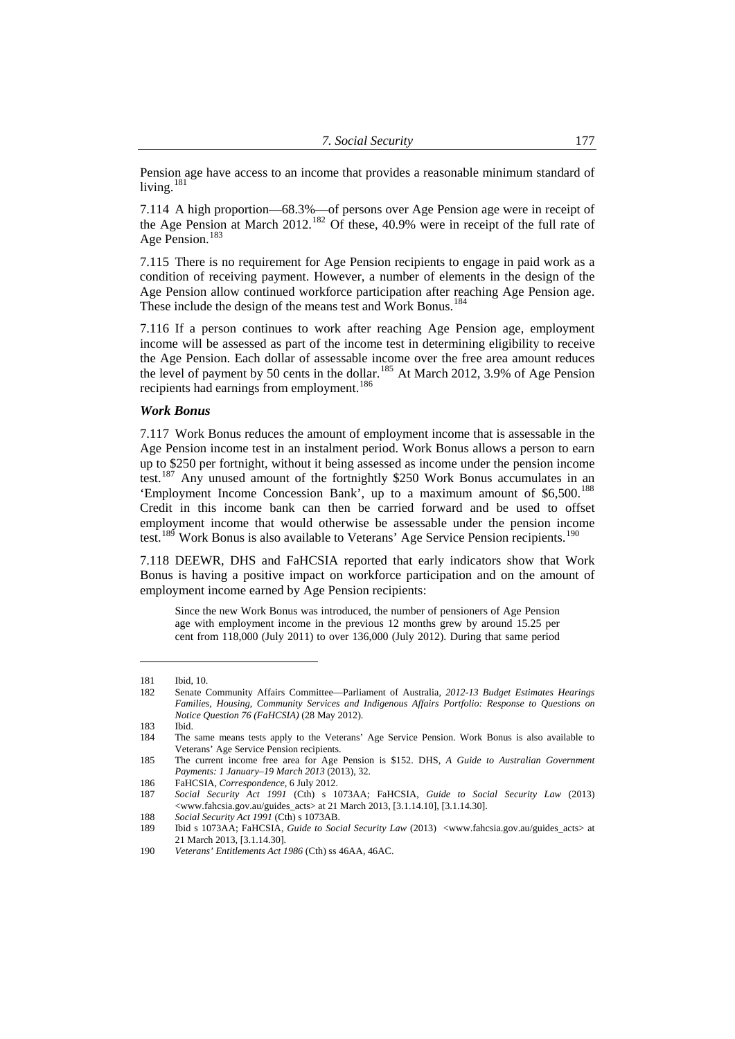Pension age have access to an income that provides a reasonable minimum standard of living.<sup>181</sup>

7.114 A high proportion—68.3%—of persons over Age Pension age were in receipt of the Age Pension at March 2012.<sup>[182](#page-26-0)</sup> Of these, 40.9% were in receipt of the full rate of Age Pension.<sup>[183](#page-26-1)</sup>

7.115 There is no requirement for Age Pension recipients to engage in paid work as a condition of receiving payment. However, a number of elements in the design of the Age Pension allow continued workforce participation after reaching Age Pension age. These include the design of the means test and Work Bonus.<sup>[184](#page-26-2)</sup>

7.116 If a person continues to work after reaching Age Pension age, employment income will be assessed as part of the income test in determining eligibility to receive the Age Pension. Each dollar of assessable income over the free area amount reduces the level of payment by 50 cents in the dollar.<sup>[185](#page-26-3)</sup> At March 2012, 3.9% of Age Pension recipients had earnings from employment.[186](#page-26-4)

#### *Work Bonus*

7.117 Work Bonus reduces the amount of employment income that is assessable in the Age Pension income test in an instalment period. Work Bonus allows a person to earn up to \$250 per fortnight, without it being assessed as income under the pension income test.[187](#page-26-5) Any unused amount of the fortnightly \$250 Work Bonus accumulates in an 'Employment Income Concession Bank', up to a maximum amount of \$6,500.<sup>[188](#page-26-6)</sup> Credit in this income bank can then be carried forward and be used to offset employment income that would otherwise be assessable under the pension income test.<sup>[189](#page-26-7)</sup> Work Bonus is also available to Veterans' Age Service Pension recipients.<sup>[190](#page-26-8)</sup>

7.118 DEEWR, DHS and FaHCSIA reported that early indicators show that Work Bonus is having a positive impact on workforce participation and on the amount of employment income earned by Age Pension recipients:

Since the new Work Bonus was introduced, the number of pensioners of Age Pension age with employment income in the previous 12 months grew by around 15.25 per cent from 118,000 (July 2011) to over 136,000 (July 2012). During that same period

<sup>181</sup> Ibid, 10.

<span id="page-26-0"></span><sup>182</sup> Senate Community Affairs Committee—Parliament of Australia, *2012-13 Budget Estimates Hearings Families, Housing, Community Services and Indigenous Affairs Portfolio: Response to Questions on Notice Question 76 (FaHCSIA)* (28 May 2012).

<sup>183</sup> Ibid.

<span id="page-26-2"></span><span id="page-26-1"></span><sup>184</sup> The same means tests apply to the Veterans' Age Service Pension. Work Bonus is also available to Veterans' Age Service Pension recipients.

<span id="page-26-3"></span><sup>185</sup> The current income free area for Age Pension is \$152. DHS, *A Guide to Australian Government Payments: 1 January–19 March 2013* (2013), 32.

<sup>186</sup> FaHCSIA, *Correspondence*, 6 July 2012.

<span id="page-26-5"></span><span id="page-26-4"></span><sup>187</sup> *Social Security Act 1991* (Cth) s 1073AA; FaHCSIA, *Guide to Social Security Law* (2013) <www.fahcsia.gov.au/guides\_acts> at 21 March 2013, [3.1.14.10], [3.1.14.30].

<sup>188</sup> *Social Security Act 1991* (Cth) s 1073AB.

<span id="page-26-7"></span><span id="page-26-6"></span><sup>189</sup> Ibid s 1073AA; FaHCSIA, *Guide to Social Security Law* (2013) <www.fahcsia.gov.au/guides\_acts> at 21 March 2013, [3.1.14.30].

<span id="page-26-8"></span><sup>190</sup> *Veterans' Entitlements Act 1986* (Cth) ss 46AA, 46AC.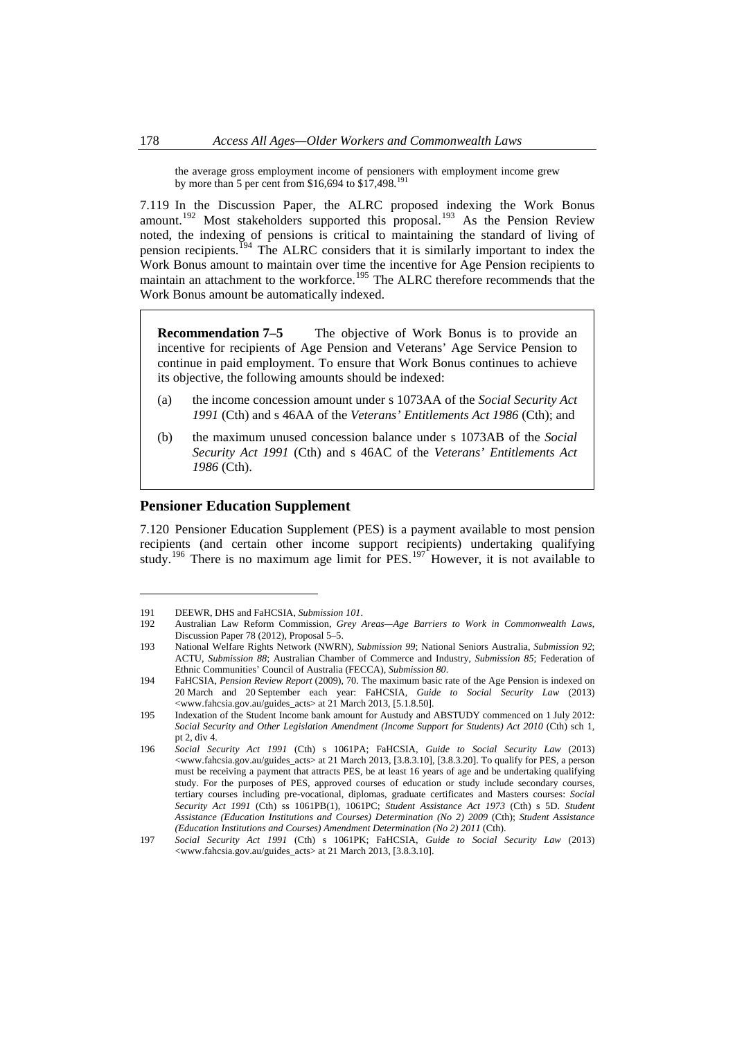<span id="page-27-0"></span>the average gross employment income of pensioners with employment income grew by more than 5 per cent from \$16,694 to \$17,498.<sup>[191](#page-27-1)</sup>

7.119 In the Discussion Paper, the ALRC proposed indexing the Work Bonus amount.<sup>[192](#page-27-2)</sup> Most stakeholders supported this proposal.<sup>[193](#page-27-3)</sup> As the Pension Review noted, the indexing of pensions is critical to maintaining the standard of living of pension recipients.<sup>[194](#page-27-4)</sup> The ALRC considers that it is similarly important to index the Work Bonus amount to maintain over time the incentive for Age Pension recipients to maintain an attachment to the workforce.<sup>[195](#page-27-5)</sup> The ALRC therefore recommends that the Work Bonus amount be automatically indexed.

**Recommendation 7–5** The objective of Work Bonus is to provide an incentive for recipients of Age Pension and Veterans' Age Service Pension to continue in paid employment. To ensure that Work Bonus continues to achieve its objective, the following amounts should be indexed:

- (a) the income concession amount under s 1073AA of the *Social Security Act 1991* (Cth) and s 46AA of the *Veterans' Entitlements Act 1986* (Cth); and
- (b) the maximum unused concession balance under s 1073AB of the *Social Security Act 1991* (Cth) and s 46AC of the *Veterans' Entitlements Act 1986* (Cth).

## **Pensioner Education Supplement**

7.120 Pensioner Education Supplement (PES) is a payment available to most pension recipients (and certain other income support recipients) undertaking qualifying study.<sup>[196](#page-27-6)</sup> There is no maximum age limit for  $PES$ .<sup>[197](#page-27-7)</sup> However, it is not available to

<span id="page-27-2"></span><span id="page-27-1"></span><sup>191</sup> DEEWR, DHS and FaHCSIA, *Submission 101*.<br>192 Australian Law Reform Commission. *Grev* 

<sup>192</sup> Australian Law Reform Commission, *Grey Areas—Age Barriers to Work in Commonwealth Laws*, Discussion Paper 78 (2012), Proposal 5–5.

<span id="page-27-3"></span><sup>193</sup> National Welfare Rights Network (NWRN), *Submission 99*; National Seniors Australia, *Submission 92*; ACTU, *Submission 88*; Australian Chamber of Commerce and Industry, *Submission 85*; Federation of Ethnic Communities' Council of Australia (FECCA), *Submission 80*.

<span id="page-27-4"></span><sup>194</sup> FaHCSIA, *Pension Review Report* (2009), 70. The maximum basic rate of the Age Pension is indexed on 20 March and 20 September each year: FaHCSIA, *Guide to Social Security Law* (2013) <www.fahcsia.gov.au/guides\_acts> at 21 March 2013, [5.1.8.50].

<span id="page-27-5"></span><sup>195</sup> Indexation of the Student Income bank amount for Austudy and ABSTUDY commenced on 1 July 2012: *Social Security and Other Legislation Amendment (Income Support for Students) Act 2010* (Cth) sch 1, pt 2, div 4.

<span id="page-27-6"></span><sup>196</sup> *Social Security Act 1991* (Cth) s 1061PA; FaHCSIA, *Guide to Social Security Law* (2013) <www.fahcsia.gov.au/guides\_acts> at 21 March 2013, [3.8.3.10], [3.8.3.20]. To qualify for PES, a person must be receiving a payment that attracts PES, be at least 16 years of age and be undertaking qualifying study. For the purposes of PES, approved courses of education or study include secondary courses, tertiary courses including pre-vocational, diplomas, graduate certificates and Masters courses: *Social Security Act 1991* (Cth) ss 1061PB(1), 1061PC; *Student Assistance Act 1973* (Cth) s 5D. *Student Assistance (Education Institutions and Courses) Determination (No 2) 2009* (Cth); *Student Assistance (Education Institutions and Courses) Amendment Determination (No 2) 2011* (Cth).

<span id="page-27-7"></span><sup>197</sup> *Social Security Act 1991* (Cth) s 1061PK; FaHCSIA, *Guide to Social Security Law* (2013) <www.fahcsia.gov.au/guides\_acts> at 21 March 2013, [3.8.3.10].